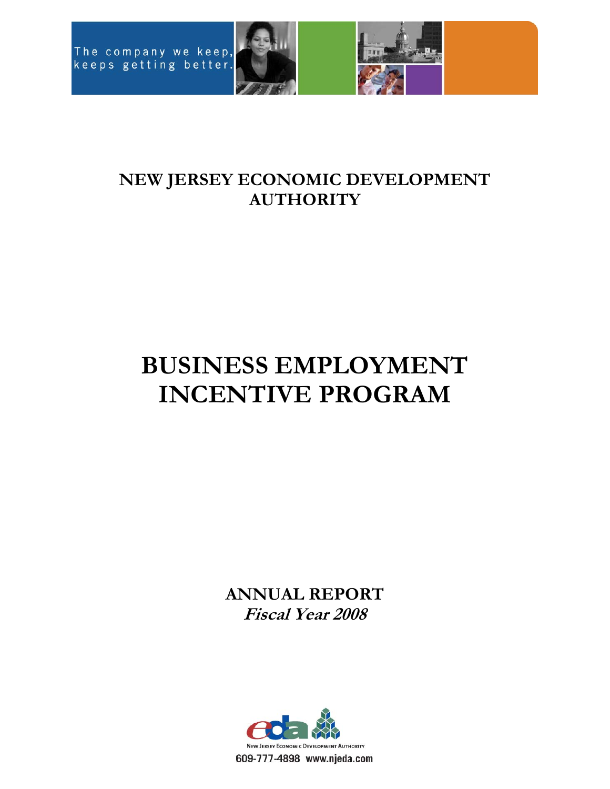



# **NEW JERSEY ECONOMIC DEVELOPMENT AUTHORITY**

# **BUSINESS EMPLOYMENT INCENTIVE PROGRAM**

**ANNUAL REPORT Fiscal Year 2008** 

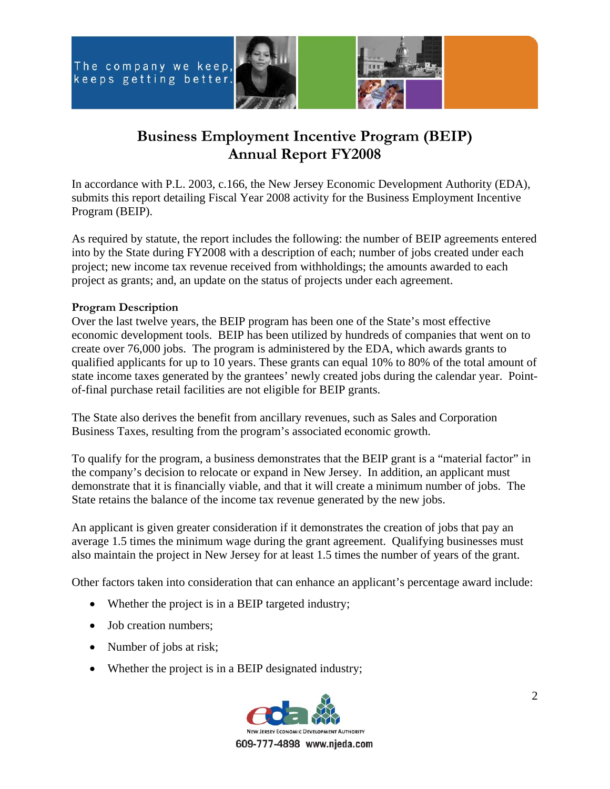



# **Business Employment Incentive Program (BEIP) Annual Report FY2008**

In accordance with P.L. 2003, c.166, the New Jersey Economic Development Authority (EDA), submits this report detailing Fiscal Year 2008 activity for the Business Employment Incentive Program (BEIP).

As required by statute, the report includes the following: the number of BEIP agreements entered into by the State during FY2008 with a description of each; number of jobs created under each project; new income tax revenue received from withholdings; the amounts awarded to each project as grants; and, an update on the status of projects under each agreement.

# **Program Description**

Over the last twelve years, the BEIP program has been one of the State's most effective economic development tools. BEIP has been utilized by hundreds of companies that went on to create over 76,000 jobs. The program is administered by the EDA, which awards grants to qualified applicants for up to 10 years. These grants can equal 10% to 80% of the total amount of state income taxes generated by the grantees' newly created jobs during the calendar year. Pointof-final purchase retail facilities are not eligible for BEIP grants.

The State also derives the benefit from ancillary revenues, such as Sales and Corporation Business Taxes, resulting from the program's associated economic growth.

To qualify for the program, a business demonstrates that the BEIP grant is a "material factor" in the company's decision to relocate or expand in New Jersey. In addition, an applicant must demonstrate that it is financially viable, and that it will create a minimum number of jobs. The State retains the balance of the income tax revenue generated by the new jobs.

An applicant is given greater consideration if it demonstrates the creation of jobs that pay an average 1.5 times the minimum wage during the grant agreement. Qualifying businesses must also maintain the project in New Jersey for at least 1.5 times the number of years of the grant.

Other factors taken into consideration that can enhance an applicant's percentage award include:

- Whether the project is in a BEIP targeted industry;
- Job creation numbers;
- Number of jobs at risk;
- Whether the project is in a BEIP designated industry;

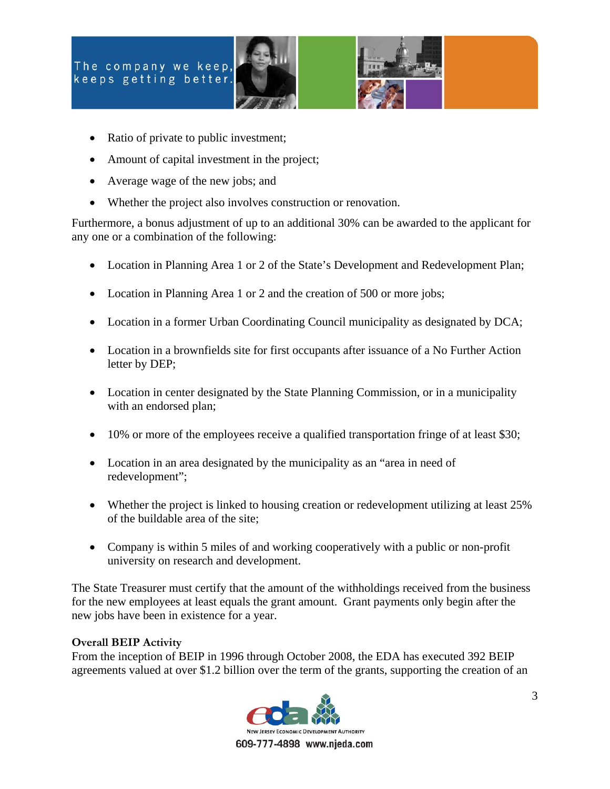



- Ratio of private to public investment;
- Amount of capital investment in the project;
- Average wage of the new jobs; and
- Whether the project also involves construction or renovation.

Furthermore, a bonus adjustment of up to an additional 30% can be awarded to the applicant for any one or a combination of the following:

- Location in Planning Area 1 or 2 of the State's Development and Redevelopment Plan;
- Location in Planning Area 1 or 2 and the creation of 500 or more jobs;
- Location in a former Urban Coordinating Council municipality as designated by DCA;
- Location in a brownfields site for first occupants after issuance of a No Further Action letter by DEP;
- Location in center designated by the State Planning Commission, or in a municipality with an endorsed plan;
- 10% or more of the employees receive a qualified transportation fringe of at least \$30;
- Location in an area designated by the municipality as an "area in need of redevelopment";
- Whether the project is linked to housing creation or redevelopment utilizing at least 25% of the buildable area of the site;
- Company is within 5 miles of and working cooperatively with a public or non-profit university on research and development.

The State Treasurer must certify that the amount of the withholdings received from the business for the new employees at least equals the grant amount. Grant payments only begin after the new jobs have been in existence for a year.

# **Overall BEIP Activity**

From the inception of BEIP in 1996 through October 2008, the EDA has executed 392 BEIP agreements valued at over \$1.2 billion over the term of the grants, supporting the creation of an

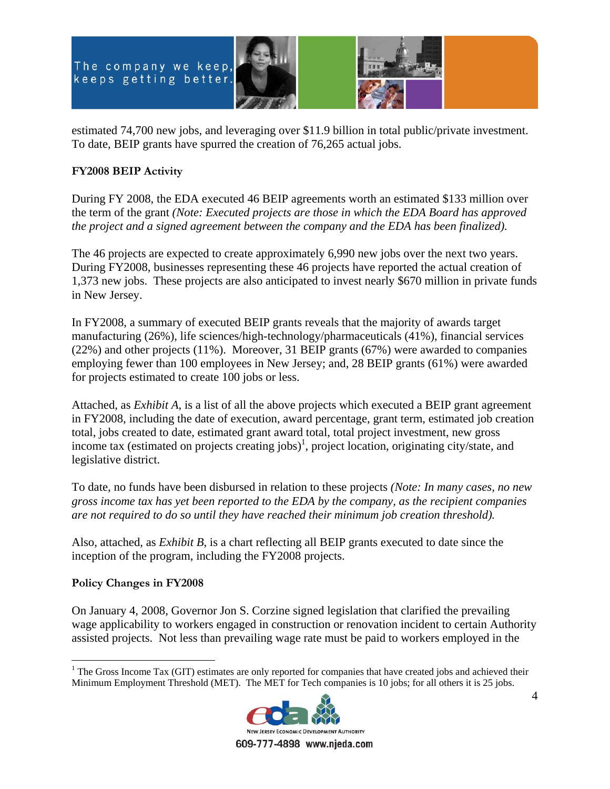



estimated 74,700 new jobs, and leveraging over \$11.9 billion in total public/private investment. To date, BEIP grants have spurred the creation of 76,265 actual jobs.

# **FY2008 BEIP Activity**

During FY 2008, the EDA executed 46 BEIP agreements worth an estimated \$133 million over the term of the grant *(Note: Executed projects are those in which the EDA Board has approved the project and a signed agreement between the company and the EDA has been finalized).*

The 46 projects are expected to create approximately 6,990 new jobs over the next two years. During FY2008, businesses representing these 46 projects have reported the actual creation of 1,373 new jobs. These projects are also anticipated to invest nearly \$670 million in private funds in New Jersey.

In FY2008, a summary of executed BEIP grants reveals that the majority of awards target manufacturing (26%), life sciences/high-technology/pharmaceuticals (41%), financial services (22%) and other projects (11%). Moreover, 31 BEIP grants (67%) were awarded to companies employing fewer than 100 employees in New Jersey; and, 28 BEIP grants (61%) were awarded for projects estimated to create 100 jobs or less.

Attached, as *Exhibit A*, is a list of all the above projects which executed a BEIP grant agreement in FY2008, including the date of execution, award percentage, grant term, estimated job creation total, jobs created to date, estimated grant award total, total project investment, new gross income tax (estimated on projects creating jobs)<sup>1</sup>, project location, originating city/state, and legislative district.

To date, no funds have been disbursed in relation to these projects *(Note: In many cases, no new gross income tax has yet been reported to the EDA by the company, as the recipient companies are not required to do so until they have reached their minimum job creation threshold).* 

Also, attached, as *Exhibit B*, is a chart reflecting all BEIP grants executed to date since the inception of the program, including the FY2008 projects.

# **Policy Changes in FY2008**

 $\overline{a}$ 

On January 4, 2008, Governor Jon S. Corzine signed legislation that clarified the prevailing wage applicability to workers engaged in construction or renovation incident to certain Authority assisted projects. Not less than prevailing wage rate must be paid to workers employed in the

<sup>&</sup>lt;sup>1</sup> The Gross Income Tax (GIT) estimates are only reported for companies that have created jobs and achieved their Minimum Employment Threshold (MET). The MET for Tech companies is 10 jobs; for all others it is 25 jobs.



609-777-4898 www.njeda.com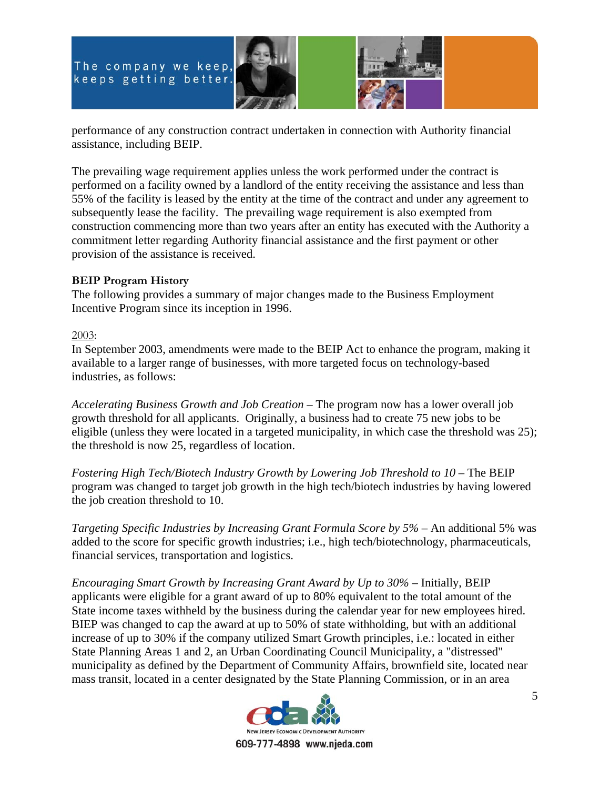



performance of any construction contract undertaken in connection with Authority financial assistance, including BEIP.

The prevailing wage requirement applies unless the work performed under the contract is performed on a facility owned by a landlord of the entity receiving the assistance and less than 55% of the facility is leased by the entity at the time of the contract and under any agreement to subsequently lease the facility. The prevailing wage requirement is also exempted from construction commencing more than two years after an entity has executed with the Authority a commitment letter regarding Authority financial assistance and the first payment or other provision of the assistance is received.

# **BEIP Program History**

The following provides a summary of major changes made to the Business Employment Incentive Program since its inception in 1996.

# 2003:

In September 2003, amendments were made to the BEIP Act to enhance the program, making it available to a larger range of businesses, with more targeted focus on technology-based industries, as follows:

*Accelerating Business Growth and Job Creation* – The program now has a lower overall job growth threshold for all applicants. Originally, a business had to create 75 new jobs to be eligible (unless they were located in a targeted municipality, in which case the threshold was 25); the threshold is now 25, regardless of location.

*Fostering High Tech/Biotech Industry Growth by Lowering Job Threshold to 10* – The BEIP program was changed to target job growth in the high tech/biotech industries by having lowered the job creation threshold to 10.

*Targeting Specific Industries by Increasing Grant Formula Score by 5%* – An additional 5% was added to the score for specific growth industries; i.e., high tech/biotechnology, pharmaceuticals, financial services, transportation and logistics.

*Encouraging Smart Growth by Increasing Grant Award by Up to 30%* – Initially, BEIP applicants were eligible for a grant award of up to 80% equivalent to the total amount of the State income taxes withheld by the business during the calendar year for new employees hired. BIEP was changed to cap the award at up to 50% of state withholding, but with an additional increase of up to 30% if the company utilized Smart Growth principles, i.e.: located in either State Planning Areas 1 and 2, an Urban Coordinating Council Municipality, a "distressed" municipality as defined by the Department of Community Affairs, brownfield site, located near mass transit, located in a center designated by the State Planning Commission, or in an area

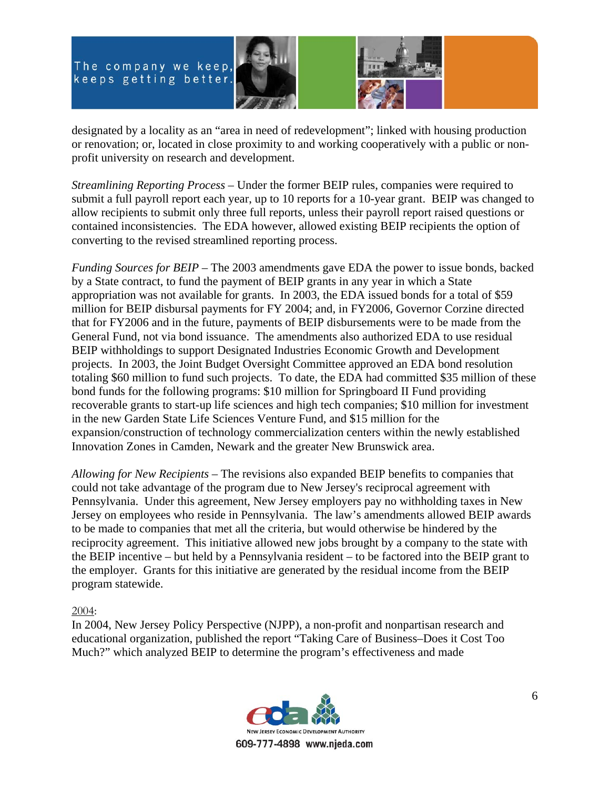



designated by a locality as an "area in need of redevelopment"; linked with housing production or renovation; or, located in close proximity to and working cooperatively with a public or nonprofit university on research and development.

*Streamlining Reporting Process* – Under the former BEIP rules, companies were required to submit a full payroll report each year, up to 10 reports for a 10-year grant. BEIP was changed to allow recipients to submit only three full reports, unless their payroll report raised questions or contained inconsistencies. The EDA however, allowed existing BEIP recipients the option of converting to the revised streamlined reporting process.

*Funding Sources for BEIP* – The 2003 amendments gave EDA the power to issue bonds, backed by a State contract, to fund the payment of BEIP grants in any year in which a State appropriation was not available for grants. In 2003, the EDA issued bonds for a total of \$59 million for BEIP disbursal payments for FY 2004; and, in FY2006, Governor Corzine directed that for FY2006 and in the future, payments of BEIP disbursements were to be made from the General Fund, not via bond issuance. The amendments also authorized EDA to use residual BEIP withholdings to support Designated Industries Economic Growth and Development projects. In 2003, the Joint Budget Oversight Committee approved an EDA bond resolution totaling \$60 million to fund such projects. To date, the EDA had committed \$35 million of these bond funds for the following programs: \$10 million for Springboard II Fund providing recoverable grants to start-up life sciences and high tech companies; \$10 million for investment in the new Garden State Life Sciences Venture Fund, and \$15 million for the expansion/construction of technology commercialization centers within the newly established Innovation Zones in Camden, Newark and the greater New Brunswick area.

*Allowing for New Recipients* – The revisions also expanded BEIP benefits to companies that could not take advantage of the program due to New Jersey's reciprocal agreement with Pennsylvania. Under this agreement, New Jersey employers pay no withholding taxes in New Jersey on employees who reside in Pennsylvania. The law's amendments allowed BEIP awards to be made to companies that met all the criteria, but would otherwise be hindered by the reciprocity agreement. This initiative allowed new jobs brought by a company to the state with the BEIP incentive – but held by a Pennsylvania resident – to be factored into the BEIP grant to the employer. Grants for this initiative are generated by the residual income from the BEIP program statewide.

# 2004:

In 2004, New Jersey Policy Perspective (NJPP), a non-profit and nonpartisan research and educational organization, published the report "Taking Care of Business–Does it Cost Too Much?" which analyzed BEIP to determine the program's effectiveness and made

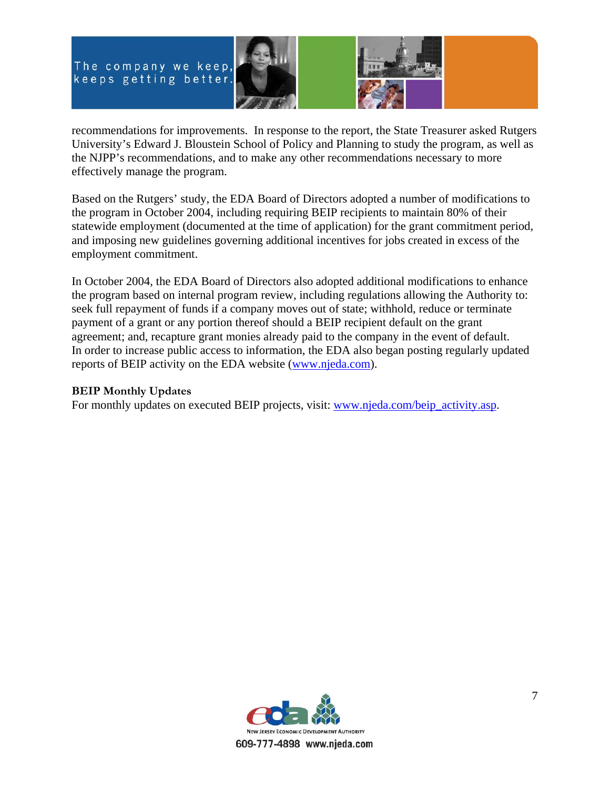



recommendations for improvements. In response to the report, the State Treasurer asked Rutgers University's Edward J. Bloustein School of Policy and Planning to study the program, as well as the NJPP's recommendations, and to make any other recommendations necessary to more effectively manage the program.

Based on the Rutgers' study, the EDA Board of Directors adopted a number of modifications to the program in October 2004, including requiring BEIP recipients to maintain 80% of their statewide employment (documented at the time of application) for the grant commitment period, and imposing new guidelines governing additional incentives for jobs created in excess of the employment commitment.

In October 2004, the EDA Board of Directors also adopted additional modifications to enhance the program based on internal program review, including regulations allowing the Authority to: seek full repayment of funds if a company moves out of state; withhold, reduce or terminate payment of a grant or any portion thereof should a BEIP recipient default on the grant agreement; and, recapture grant monies already paid to the company in the event of default. In order to increase public access to information, the EDA also began posting regularly updated reports of BEIP activity on the EDA website (www.njeda.com).

# **BEIP Monthly Updates**

For monthly updates on executed BEIP projects, visit: www.njeda.com/beip\_activity.asp.

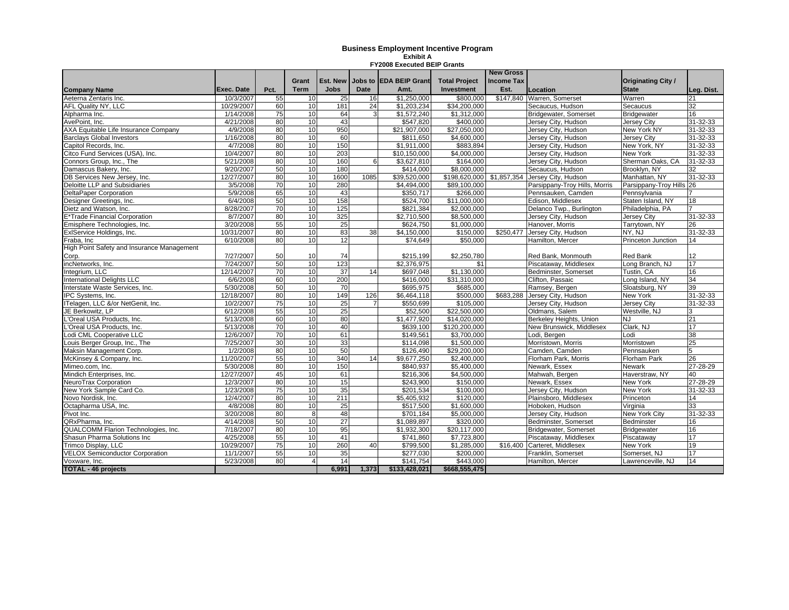#### **Business Employment Incentive Program Exhibit A FY2008 Executed BEIP Grants**

|                                             |            |      |                |                 |             |                         |                          | <b>New Gross</b>  |                               |                           |                 |
|---------------------------------------------|------------|------|----------------|-----------------|-------------|-------------------------|--------------------------|-------------------|-------------------------------|---------------------------|-----------------|
|                                             |            |      | Grant          | Est. New        |             | Jobs to IEDA BEIP Grant | <b>Total Project</b>     | <b>Income Tax</b> |                               | <b>Originating City /</b> |                 |
| <b>Company Name</b>                         | Exec. Date | Pct. | <b>Term</b>    | <b>Jobs</b>     | <b>Date</b> | Amt.                    | <b>Investment</b>        | Est.              | Location                      | <b>State</b>              | Leg. Dist.      |
| Aeterna Zentaris Inc.                       | 10/3/2007  | 55   | 10             | 25              | 16          | \$1,250,000             | \$800,000                | \$147,840         | Warren, Somerset              | Warren                    |                 |
| <b>AFL Quality NY, LLC</b>                  | 10/29/2007 | 60   | 10             | 181             | 24          | \$1,203,234             | \$34,200,000             |                   | Secaucus, Hudson              | Secaucus                  | $\overline{32}$ |
| Alpharma Inc.                               | 1/14/2008  | 75   | 10             | 64              |             | \$1,572,240             | \$1,312,000              |                   | Bridgewater, Somerset         | <b>Bridgewater</b>        | 16              |
| AvePoint, Inc.                              | 4/21/2008  | 80   | 10             | 43              |             | \$547,820               | \$400,000                |                   | Jersey City, Hudson           | Jersey City               | 31-32-33        |
| <b>AXA Equitable Life Insurance Company</b> | 4/9/2008   | 80   | 10             | 950             |             | \$21,907,000            | \$27,050,000             |                   | Jersey City, Hudson           | New York NY               | 31-32-33        |
| <b>Barclays Global Investors</b>            | 1/16/2008  | 80   | 10             | 60              |             | \$811,650               | \$4,600,000              |                   | Jersey City, Hudson           | Jersey City               | 31-32-33        |
| Capitol Records, Inc.                       | 4/7/2008   | 80   | 10             | 150             |             | \$1,911,000             | \$883,894                |                   | Jersey City, Hudson           | New York, NY              | 31-32-33        |
| Citco Fund Services (USA), Inc.             | 10/4/2007  | 80   | 10             | 203             |             | \$10.150.000            | \$4.000.000              |                   | Jersev Citv. Hudson           | New York                  | 31-32-33        |
| Connors Group, Inc., The                    | 5/21/2008  | 80   | 10             | 160             | 6           | \$3,627,810             | \$164,000                |                   | Jersey City, Hudson           | Sherman Oaks, CA          | 31-32-33        |
| Damascus Bakery, Inc.                       | 9/20/2007  | 50   | 10             | 180             |             | \$414.000               | \$8,000,000              |                   | Secaucus, Hudson              | Brooklyn, NY              | 32              |
| DB Services New Jersey, Inc.                | 12/27/2007 | 80   | 10             | 1600            | 1085        | \$39,520,000            | \$198,620,000            | \$1,857,354       | Jersey City, Hudson           | Manhattan, NY             | 31-32-33        |
| Deloitte LLP and Subsidiaries               | 3/5/2008   | 70   | 10             | 280             |             | \$4,494,000             | \$89,100,000             |                   | Parsippany-Troy Hills, Morris | Parsippany-Troy Hills     | 26              |
| <b>DeltaPaper Corporation</b>               | 5/9/2008   | 65   | 10             | 43              |             | \$350,717               | \$266,000                |                   | Pennsauken, Camden            | Pennsylvania              |                 |
| Designer Greetings, Inc.                    | 6/4/2008   | 50   | 10             | 158             |             | \$524,700               | \$11,000,000             |                   | Edison, Middlesex             | Staten Island, NY         | 18              |
| Dietz and Watson, Inc.                      | 8/28/2007  | 70   | 10             | 125             |             | \$821,384               | \$2,000,000              |                   | Delanco Twp., Burlington      | Philadelphia, PA          |                 |
| E*Trade Financial Corporation               | 8/7/2007   | 80   | 10             | 325             |             | \$2.710.500             | \$8,500,000              |                   | Jersey City, Hudson           | <b>Jersev Citv</b>        | 31-32-33        |
| Emisphere Technologies, Inc.                | 3/20/2008  | 55   | 10             | 25              |             | \$624,750               | \$1,000,000              |                   | Hanover, Morris               | Tarrytown, NY             | 26              |
| ExIService Holdings, Inc.                   | 10/31/2007 | 80   | 10             | 83              | 38          | \$4,150,000             | \$150,000                | \$250,477         | Jersey City, Hudson           | NY. NJ                    | 31-32-33        |
| Fraba, Inc                                  | 6/10/2008  | 80   | 10             | $\overline{12}$ |             | \$74,649                | \$50,000                 |                   | Hamilton, Mercer              | Princeton Junction        | 14              |
| High Point Safety and Insurance Management  |            |      |                |                 |             |                         |                          |                   |                               |                           |                 |
| Corp.                                       | 7/27/2007  | 50   | 10             | 74              |             | \$215,199               | \$2,250,780              |                   | Red Bank, Monmouth            | <b>Red Bank</b>           | 12              |
| incNetworks, Inc.                           | 7/24/2007  | 50   | 10             | 123             |             | \$2,376,975             | \$1                      |                   | Piscataway, Middlesex         | Long Branch, NJ           | 17              |
| Integrium, LLC                              | 12/14/2007 | 70   | 10             | 37              | 14          | \$697,048               | \$1,130,000              |                   | Bedminster, Somerset          | Tustin. CA                | 16              |
| <b>International Delights LLC</b>           | 6/6/2008   | 60   | 10             | 200             |             | \$416,000               | $\overline{331,310,000}$ |                   | Clifton, Passaic              | Long Island, NY           | 34              |
| Interstate Waste Services, Inc.             | 5/30/2008  | 50   | 10             | 70              |             | \$695,975               | \$685,000                |                   | Ramsey, Bergen                | Sloatsburg, NY            | 39              |
| IPC Systems, Inc.                           | 12/18/2007 | 80   | 10             | 149             | 126         | \$6,464,118             | \$500,000                | \$683,288         | Jersey City, Hudson           | New York                  | $31 - 32 - 33$  |
| ITelagen, LLC &/or NetGenit, Inc.           | 10/2/2007  | 75   | 10             | 25              |             | \$550,699               | \$105,000                |                   | Jersey City, Hudson           | <b>Jersey City</b>        | 31-32-33        |
| JE Berkowitz, LP                            | 6/12/2008  | 55   | 10             | $\overline{25}$ |             | \$52,500                | \$22,500,000             |                   | Oldmans, Salem                | Westville, NJ             |                 |
| <b>Creal USA Products, Inc.</b>             | 5/13/2008  | 60   | 10             | 80              |             | \$1,477,920             | \$14,020,000             |                   | Berkeley Heights, Union       | NJ                        | 21              |
| <b>'Oreal USA Products, Inc.</b>            | 5/13/2008  | 70   | 10             | 40              |             | \$639.100               | \$120,200,000            |                   | New Brunswick, Middlesex      | Clark, NJ                 | 17              |
| Lodi CML Cooperative LLC                    | 12/6/2007  | 70   | 10             | 61              |             | \$149,561               | \$3,700,000              |                   | Lodi, Bergen                  | _odi                      | 38              |
| Louis Berger Group, Inc., The               | 7/25/2007  | 30   | 10             | 33              |             | \$114,098               | \$1,500,000              |                   | Morristown, Morris            | Morristown                | $\overline{25}$ |
| Maksin Management Corp.                     | 1/2/2008   | 80   | 10             | 50              |             | \$126,490               | \$29,200,000             |                   | Camden, Camden                | Pennsauken                | 5               |
| McKinsey & Company, Inc.                    | 11/20/2007 | 55   | 10             | 340             | 14          | \$9.677.250             | \$2,400,000              |                   | Florham Park, Morris          | <b>Florham Park</b>       | 26              |
| Mimeo.com, Inc.                             | 5/30/2008  | 80   | 10             | 150             |             | \$840,937               | \$5,400,000              |                   | Newark, Essex                 | Newark                    | 27-28-29        |
| Mindich Enterprises, Inc.                   | 12/27/2007 | 45   | 10             | 61              |             | $\overline{$}216,306$   | \$4,500,000              |                   | Mahwah, Bergen                | Haverstraw, NY            | 40              |
| NeuroTrax Corporation                       | 12/3/2007  | 80   | 10             | 15              |             | \$243,900               | \$150,000                |                   | Newark, Essex                 | New York                  | $27 - 28 - 29$  |
| New York Sample Card Co.                    | 1/23/2008  | 75   | 10             | 35              |             | \$201,534               | \$100,000                |                   | Jersey City, Hudson           | <b>New York</b>           | 31-32-33        |
| Novo Nordisk, Inc.                          | 12/4/2007  | 80   | 10             | 211             |             | 55,405,932              | \$120,000                |                   | Plainsboro, Middlesex         | Princeton                 | 14              |
| Octapharma USA, Inc.                        | 4/8/2008   | 80   | 10             | 25              |             | \$517,500               | \$1,600,000              |                   | Hoboken, Hudson               | Virginia                  | 33              |
| Pivot Inc.                                  | 3/20/2008  | 80   | 8              | 48              |             | \$701.184               | \$5,000,000              |                   | Jersey City, Hudson           | <b>New York City</b>      | 31-32-33        |
| QRxPharma, Inc.                             | 4/14/2008  | 50   | 10             | $\overline{27}$ |             | \$1,089,897             | \$320,000                |                   | Bedminster, Somerset          | Bedminster                | 16              |
| QUALCOMM Flarion Technologies, Inc.         | 7/18/2007  | 80   | 10             | 95              |             | \$1,932,300             | \$20,117,000             |                   | Bridgewater, Somerset         | <b>Bridgewater</b>        | 16              |
| Shasun Pharma Solutions Inc                 | 4/25/2008  | 55   | 10             | 41              |             | \$741,860               | \$7,723,800              |                   | Piscataway, Middlesex         | Piscataway                | 17              |
| Trimco Display, LLC                         | 10/29/2007 | 75   | 10             | 260             | 40          | \$799,500               | \$1,285,000              | \$16,400          | Carteret, Middlesex           | New York                  | 19              |
| <b>VELOX Semiconductor Corporation</b>      | 11/1/2007  | 55   | 10             | 35              |             | \$277,030               | \$200,000                |                   | Franklin, Somerset            | Somerset, NJ              | 17              |
| Voxware, Inc.                               | 5/23/2008  | 80   | $\overline{4}$ | 14              |             | \$141.754               | \$443,000                |                   | Hamilton, Mercer              | Lawrenceville, NJ         | 14              |
| <b>TOTAL - 46 projects</b>                  |            |      |                | 6.991           | 1.373       | \$133,428,021           | \$668,555,475            |                   |                               |                           |                 |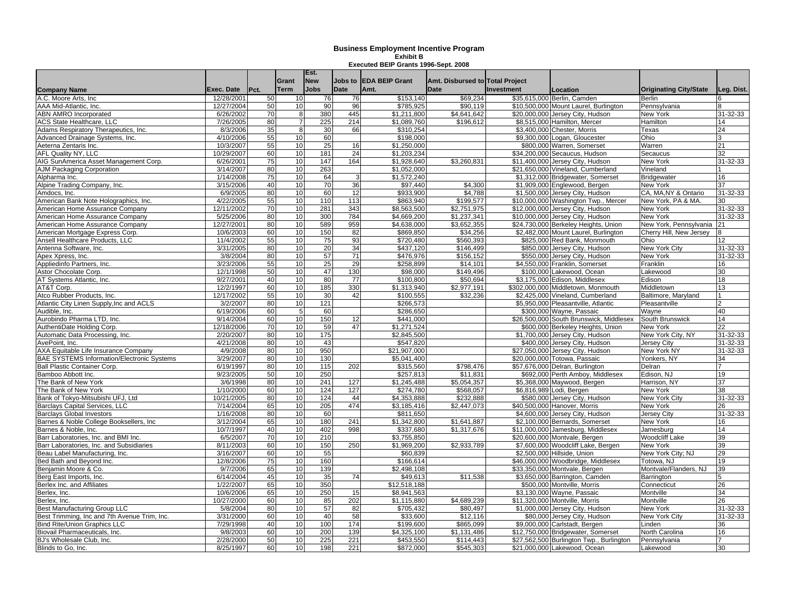| <b>Company Name</b>                               | Exec. Date | Pct. | Grant<br><b>Term</b> | Est.<br><b>New</b><br><b>Jobs</b> | <b>Date</b> | Jobs to EDA BEIP Grant<br>Amt. | Amt. Disbursed to Total Project<br>Date | <b>Investment</b> | Location                                 | <b>Originating City/State</b> | Leg. Dist.      |
|---------------------------------------------------|------------|------|----------------------|-----------------------------------|-------------|--------------------------------|-----------------------------------------|-------------------|------------------------------------------|-------------------------------|-----------------|
| A.C. Moore Arts. Inc.                             | 12/28/2001 | 50   | 10 <sup>1</sup>      | 76                                | 76          | \$153,140                      | \$69,234                                |                   | \$35,615,000 Berlin, Camden              | <b>Berlin</b>                 |                 |
| AAA Mid-Atlantic. Inc.                            | 12/27/2004 | 50   | 10                   | 90                                | 96          | \$785,925                      | \$90,119                                |                   | \$10,500,000 Mount Laurel, Burlington    | Pennsylvania                  |                 |
| <b>ABN AMRO Incorporated</b>                      | 6/26/2002  | 70   | 8                    | 380                               | 445         | \$1,211,800                    | \$4,641,642                             |                   | \$20,000,000 Jersey City, Hudson         | New York                      | 31-32-33        |
| <b>ACS State Healthcare, LLC</b>                  | 7/26/2005  | 80   | $\overline{7}$       | 225                               | 214         | \$1,089,760                    | \$196.612                               |                   | \$8.515.000 Hamilton, Mercer             | Hamilton                      | 14              |
| Adams Respiratory Therapeutics, Inc.              | 8/3/2006   | 35   | 8                    | 30                                | 66          | \$310.254                      |                                         |                   | \$3.400.000 Chester, Morris              | Texas                         | 24              |
| Advanced Drainage Systems, Inc.                   | 4/10/2006  | 55   | 10                   | 60                                |             | \$198,000                      |                                         |                   | \$9,300,000 Logan, Gloucester            | Ohio                          |                 |
| Aeterna Zentaris Inc.                             | 10/3/2007  | 55   | 10                   | 25                                | 16          | \$1,250,000                    |                                         |                   | \$800,000 Warren, Somerset               | Warren                        | 21              |
| AFL Quality NY, LLC                               | 10/29/2007 | 60   | 10                   | 181                               | 24          | \$1,203,234                    |                                         |                   | \$34,200,000 Secaucus, Hudson            | Secaucus                      | 32              |
| AIG SunAmerica Asset Management Corp.             | 6/26/2001  | 75   | 10                   | 147                               | 164         | \$1,928,640                    | \$3,260,831                             |                   | \$11,400,000 Jersey City, Hudson         | <b>New York</b>               | 31-32-33        |
| <b>AJM Packaging Corporation</b>                  | 3/14/2007  | 80   | 10                   | 263                               |             | \$1,052,000                    |                                         |                   | \$21,650,000 Vineland, Cumberland        | Vineland                      |                 |
| Alpharma Inc.                                     | 1/14/2008  | 75   | 10                   | 64                                | 3           | \$1.572.240                    |                                         |                   | \$1,312,000 Bridgewater, Somerset        | <b>Bridgewater</b>            | 16              |
| Alpine Trading Company, Inc.                      | 3/15/2006  | 40   | 10                   | 70                                | 36          | \$97,440                       | \$4,300                                 |                   | \$1,909,000 Englewood, Bergen            | New York                      | $\overline{37}$ |
| Amdocs, Inc.                                      | 6/9/2005   | 80   | 10                   | 60                                | 12          | \$933,900                      | \$4.788                                 |                   | \$1.500.000 Jersey City, Hudson          | CA, MA, NY & Ontario          | 31-32-33        |
| American Bank Note Holographics, Inc.             | 4/22/2005  | 55   | 10                   | 110                               | 113         | \$863,940                      | \$199,577                               |                   | \$10,000,000 Washington Twp., Mercer     | New York, PA & MA.            | 30              |
| American Home Assurance Company                   | 12/11/2002 | 70   | 10                   | 281                               | 343         | \$8,563,500                    | \$2,751,975                             |                   | \$12,000,000 Jersey City, Hudson         | New York                      | 31-32-33        |
| American Home Assurance Company                   | 5/25/2006  | 80   | 10                   | 300                               | 784         | \$4,669,200                    | \$1,237,341                             |                   | \$10,000,000 Jersey City, Hudson         | New York                      | 31-32-33        |
| American Home Assurance Company                   | 12/27/2001 | 80   | 10                   | 589                               | 959         | \$4,638,000                    | \$3,652,355                             |                   | \$24,730,000 Berkeley Heights, Union     | New York, Pennsylvania        | 21              |
| American Mortgage Express Corp.                   | 10/6/2003  | 60   | 10                   | 150                               | 82          | \$869,850                      | \$34,256                                |                   | \$2,482,000 Mount Laurel, Burlington     | Cherry Hill, New Jersey       |                 |
| Ansell Healthcare Products, LLC                   | 11/4/2002  | 55   | 10                   | 75                                | 93          | \$720.480                      | \$560.393                               |                   | \$825,000 Red Bank, Monmouth             | Ohio                          | 12              |
| Antenna Software, Inc.                            | 3/31/2005  | 80   | 10                   | 20                                | 34          | \$437,120                      | \$146,499                               |                   | \$850,000 Jersey City, Hudson            | New York City                 | 31-32-33        |
| Apex Xpress, Inc.                                 | 3/8/2004   | 80   | 10                   | 57                                | 71          | \$476,976                      | \$156,152                               |                   | \$550,000 Jersey City, Hudson            | New York                      | 31-32-33        |
| Appliedinfo Partners, Inc.                        | 3/23/2006  | 55   | 10                   | $\overline{25}$                   | 29          | \$258.899                      | \$14.101                                |                   | \$4.550.000 Franklin, Somerset           | Franklin                      | 16              |
| Astor Chocolate Corp.                             | 12/1/1998  | 50   | 10                   | 47                                | 130         | \$98,000                       | \$149,496                               |                   | \$100,000 Lakewood, Ocean                | Lakewood                      | 30              |
| AT Systems Atlantic, Inc.                         | 9/27/2001  | 40   | 10                   | 80                                | 77          | \$100,800                      | \$50,694                                |                   | \$3,175,000 Edison, Middlesex            | Edison                        | 18              |
| AT&T Corp.                                        | 12/2/1997  | 60   | 10                   | 185                               | 330         | \$1.313.940                    | \$2.977.191                             |                   | \$302.000.000 Middletown, Monmouth       | Middletown                    | 13              |
| Atco Rubber Products, Inc.                        | 12/17/2002 | 55   | 10                   | 30                                | 42          | \$100.555                      | \$32,236                                |                   | \$2.425.000 Vineland, Cumberland         | Baltimore, Maryland           |                 |
| Atlantic City Linen Supply, Inc and ACLS          | 3/2/2007   | 80   | 10                   | 121                               |             | \$266,573                      |                                         |                   | \$5,950,000 Pleasantville, Atlantic      | Pleasantville                 |                 |
| Audible, Inc.                                     | 6/19/2006  | 60   | 5                    | 60                                |             | \$286.650                      |                                         |                   | \$300,000 Wayne, Passaic                 | Wayne                         | 40              |
| Aurobindo Pharma LTD, Inc.                        | 9/14/2004  | 60   | 10                   | 150                               | 12          | \$441,000                      |                                         |                   | \$26,500,000 South Brunswick, Middlesex  | South Brunswick               | 14              |
| AuthentiDate Holding Corp.                        | 12/18/2006 | 70   | 10                   | 59                                | 47          | \$1,271,524                    |                                         |                   | \$600,000 Berkeley Heights, Union        | New York                      | 22              |
| Automatic Data Processing, Inc.                   | 2/20/2007  | 80   | 10                   | 175                               |             | \$2,845,500                    |                                         |                   | \$1,700,000 Jersey City, Hudson          | New York City, NY             | 31-32-33        |
| AvePoint, Inc.                                    | 4/21/2008  | 80   | 10                   | 43                                |             | \$547.820                      |                                         |                   | \$400,000 Jersey City, Hudson            | <b>Jersey City</b>            | 31-32-33        |
| AXA Equitable Life Insurance Company              | 4/9/2008   | 80   | 10                   | 950                               |             | \$21,907,000                   |                                         |                   | \$27,050,000 Jersey City, Hudson         | New York NY                   | 31-32-33        |
| <b>BAE SYSTEMS Information/Electronic Systems</b> | 3/29/2007  | 80   | 10                   | 130                               |             | \$5.041.400                    |                                         |                   | \$20,000,000 Totowa, Passaic             | Yonkers, NY                   | 34              |
| Ball Plastic Container Corp.                      | 6/19/1997  | 80   | 10                   | 115                               | 202         | \$315,560                      | \$798,476                               |                   | \$57,676,000 Delran, Burlington          | Delran                        |                 |
| Bamboo Abbott Inc.                                | 9/23/2005  | 50   | 10                   | 250                               |             | \$257,813                      | \$11,831                                |                   | \$692,000 Perth Amboy, Middlesex         | Edison, NJ                    | 19              |
| The Bank of New York                              | 3/6/1998   | 80   | 10                   | 241                               | 127         | \$1,245,488                    | \$5,054,357                             |                   | \$5,368,000 Maywood, Bergen              | Harrison, NY                  | 37              |
| The Bank of New York                              | 1/10/2000  | 60   | 10                   | 124                               | 127         | \$274,780                      | \$568,057                               |                   | \$6,816,989 Lodi, Bergen                 | <b>New York</b>               | 38              |
| Bank of Tokyo-Mitsubishi UFJ, Ltd                 | 10/21/2005 | 80   | 10                   | 124                               | 44          | \$4,353,888                    | \$232,888                               |                   | \$580,000 Jersey City, Hudson            | New York City                 | 31-32-33        |
| Barclays Capital Services, LLC                    | 7/14/2004  | 65   | 10                   | 205                               | 474         | \$3,185,416                    | \$2,447,073                             |                   | \$40,500,000 Hanover, Morris             | New York                      | 26              |
| <b>Barclavs Global Investors</b>                  | 1/16/2008  | 80   | 10                   | 60                                |             | \$811.650                      |                                         |                   | \$4.600.000 Jersey City, Hudson          | Jersev Citv                   | 31-32-33        |
| Barnes & Noble College Booksellers, Inc.          | 3/12/2004  | 65   | 10                   | 180                               | 241         | \$1,342,800                    | \$1,641,887                             |                   | \$2,100,000 Bernards, Somerset           | New York                      | 16              |
| Barnes & Noble, Inc.                              | 10/7/1997  | 40   | 10                   | 402                               | 998         | \$337,680                      | \$1.317.676                             |                   | \$11,000,000 Jamesburg, Middlesex        | Jamesburg                     | 14              |
| Barr Laboratories, Inc. and BMI Inc.              | 6/5/2007   | 70   | 10                   | 210                               |             | \$3,755,850                    |                                         |                   | \$20,600,000 Montvale, Bergen            | Woodcliff Lake                | 39              |
| Barr Laboratories, Inc. and Subsidiaries          | 8/11/2003  | 60   | 10                   | 150                               | 250         | \$1,969,200                    | \$2,933,789                             |                   | \$7,600,000 Woodcliff Lake, Bergen       | New York                      | 39              |
| Beau Label Manufacturing, Inc.                    | 3/16/2007  | 60   | 10                   | 55                                |             | \$60,839                       |                                         |                   | \$2,500,000 Hillside, Union              | New York City; NJ             | 29              |
| Bed Bath and Beyond Inc.                          | 12/8/2006  | 75   | 10                   | 160                               |             | \$166.614                      |                                         |                   | \$46,000,000 Woodbridge, Middlesex       | Totowa, NJ                    | 19              |
| Beniamin Moore & Co.                              | 9/7/2006   | 65   | 10                   | 139                               |             | \$2.498.108                    |                                         |                   | \$33,350,000 Montvale, Bergen            | Montvale/Flanders, NJ         | 39              |
| Berg East Imports, Inc.                           | 6/14/2004  | 45   | 10                   | 35                                | 74          | \$49,613                       | \$11,538                                |                   | \$3,650,000 Barrington, Camden           | Barrington                    |                 |
| Berlex Inc. and Affiliates                        | 1/22/2007  | 65   | 10                   | 350                               |             | \$12,518,188                   |                                         |                   | \$500,000 Montville, Morris              | Connecticut                   | 26              |
| Berlex, Inc.                                      | 10/6/2006  | 65   | 10                   | 250                               | 15          | \$8,941,563                    |                                         |                   | \$3,130,000 Wayne, Passaic               | Montville                     | 34              |
| Berlex, Inc.                                      | 10/27/2000 | 60   | 10                   | 85                                | 202         | \$1,115,880                    | \$4,689,239                             |                   | \$11,320,000 Montville, Morris           | Montville                     | 26              |
| Best Manufacturing Group LLC                      | 5/8/2004   | 80   | 10 <sup>1</sup>      | 57                                | 82          | \$705,432                      | \$80,497                                |                   | \$1,000,000 Jersey City, Hudson          | <b>New York</b>               | $31 - 32 - 33$  |
| Best Trimming, Inc and 7th Avenue Trim, Inc.      | 3/31/2000  | 60   | 10                   | 40                                | 58          | \$33,600                       | \$12,116                                |                   | \$80,000 Jersey City, Hudson             | New York City                 | 31-32-33        |
| <b>Bind Rite/Union Graphics LLC</b>               | 7/29/1998  | 40   | 10                   | 100                               | 174         | \$199,600                      | \$865,099                               |                   | \$9,000,000 Carlstadt, Bergen            | Linden                        | 36              |
| Biovail Pharmaceuticals, Inc.                     | 9/8/2003   | 60   | 10                   | 200                               | 139         | \$4,325,100                    | \$1.131.486                             |                   | \$12.750.000 Bridgewater, Somerset       | North Carolina                | 16              |
| BJ's Wholesale Club, Inc.                         | 2/28/2000  | 50   | 10                   | 225                               | 221         | \$453,550                      | \$114,443                               |                   | \$27,562,500 Burlington Twp., Burlington | Pennsylvania                  |                 |
| Blinds to Go, Inc.                                | 8/25/1997  | 60   | 10                   | 198                               | 221         | \$872,000                      | \$545,303                               |                   | \$21,000,000 Lakewood, Ocean             | Lakewood                      | 30              |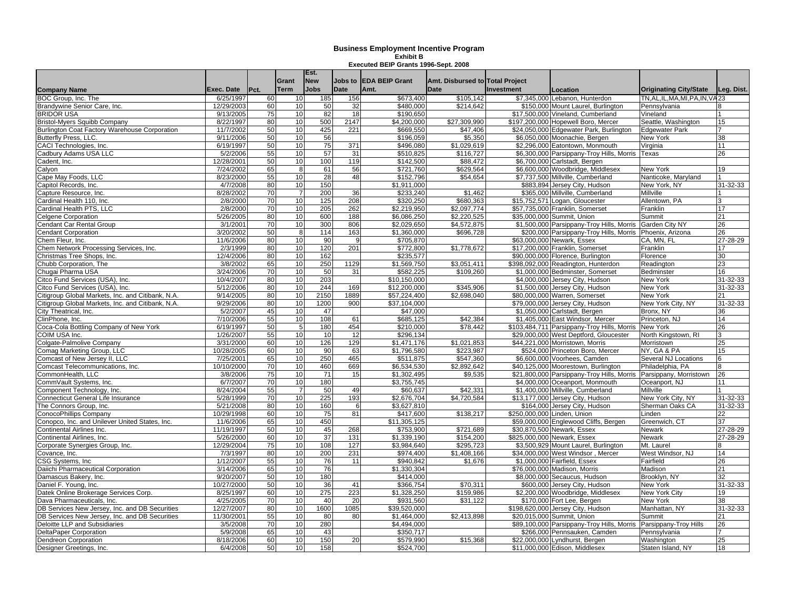| <b>Company Name</b>                                         | <b>Exec. Date</b>       | Pct.     | Grant<br><b>Term</b> | Est.<br><b>New</b><br><b>Jobs</b> | Jobs to<br><b>Date</b> | <b>IEDA BEIP Grant</b><br>Amt. | Amt. Disbursed to Total Project<br><b>Date</b> | <b>Investment</b> | Location                                                            | <b>Originating City/State</b>       | Leg. Dist. |
|-------------------------------------------------------------|-------------------------|----------|----------------------|-----------------------------------|------------------------|--------------------------------|------------------------------------------------|-------------------|---------------------------------------------------------------------|-------------------------------------|------------|
| BOC Group, Inc. The                                         | 6/25/1997               | 60       | 10                   | 185                               | 156                    | \$673,400                      | \$105,142                                      |                   | \$7,345,000 Lebanon, Hunterdon                                      | TN.AL.IL.MA.MI.PA.IN.VA23           |            |
| Brandywine Senior Care, Inc.                                | 12/29/2003              | 60       | 10                   | 50                                | 32                     | \$480,000                      | \$214.642                                      |                   | \$150,000 Mount Laurel, Burlington                                  | Pennsylvania                        |            |
| <b>BRIDOR USA</b>                                           | 9/13/2005               | 75       | 10                   | 82                                | 18                     | \$190,650                      |                                                |                   | \$17,500,000 Vineland, Cumberland                                   | Vineland                            |            |
| Bristol-Myers Squibb Company                                | 8/22/1997               | 80       | 10                   | 500                               | 2147                   | \$4,200,000                    | \$27,309,990                                   |                   | \$197,200,000 Hopewell Boro, Mercer                                 | Seattle, Washington                 | 15         |
| Burlington Coat Factory Warehouse Corporation               | 11/7/2002               | 50       | 10                   | 425                               | 221                    | \$669.550                      | \$47.406                                       |                   | \$24,050,000 Edgewater Park, Burlington                             | <b>Edgewater Park</b>               |            |
| Butterfly Press, LLC                                        | 9/11/2006               | 50       | 10                   | 56                                |                        | \$196,059                      | \$5,350                                        |                   | \$6,050,000 Moonachie, Bergen                                       | New York                            | 38         |
| CACI Technologies, Inc.                                     | 6/19/1997               | 50       | 10                   | 75                                | 371                    | \$496,080                      | \$1,029,619                                    |                   | \$2,296,000 Eatontown, Monmouth                                     | Virginia                            | 11         |
| Cadbury Adams USA LLC                                       | 5/2/2006                | 55       | 10                   | 57                                | 31                     | \$510.825                      | \$116.727                                      |                   | \$6,300,000 Parsippany-Troy Hills, Morris                           | Texas                               | 26         |
| Cadent. Inc.                                                | 12/28/2001              | 50       | 10                   | 100                               | 119                    | \$142,500                      | \$88.472                                       |                   | \$6.700.000 Carlstadt, Bergen                                       |                                     |            |
| Calyon                                                      | 7/24/2002               | 65       | 8                    | 61                                | 56                     | \$721,760                      | \$629,564                                      |                   | \$6,600,000 Woodbridge, Middlesex                                   | New York                            | 19         |
| Cape May Foods, LLC                                         | 8/23/2000               | 55       | 10                   | 28                                | 48                     | \$152,796                      | \$54,654                                       |                   | \$7,737,500 Millville, Cumberland                                   | Nanticoke, Maryland                 |            |
| Capitol Records, Inc.                                       | 4/7/2008                | 80       | 10                   | 150                               |                        | \$1,911,000                    |                                                |                   | \$883,894 Jersey City, Hudson                                       | New York, NY                        | 31-32-33   |
| Capture Resource, Inc.                                      | 8/28/2002               | 70       | $\overline{7}$       | 200                               | 36                     | \$233,240                      | \$1,462                                        |                   | \$365,000 Millville, Cumberland                                     | Millville                           |            |
| Cardinal Health 110, Inc.                                   | 2/8/2000                | 70       | 10                   | 125                               | 208                    | \$320,250                      | \$680,363                                      |                   | \$15,752,571 Logan, Gloucester                                      | Allentown, PA                       |            |
| Cardinal Health PTS, LLC                                    | 2/8/2000                | 70       | 10                   | 205                               | 262                    | \$2,219,950                    | \$2.097.774                                    |                   | \$57,735,000 Franklin, Somerset                                     | Franklin                            | 17         |
| <b>Celgene Corporation</b>                                  | 5/26/2005               | 80       | 10                   | 600                               | 188                    | \$6,086,250                    | \$2,220.525                                    |                   | \$35,000,000 Summit. Union                                          | Summit                              | 21         |
| Cendant Car Rental Group                                    | 3/1/2001                | 70       | 10                   | 300                               | 806                    | \$2,029,650                    | \$4,572,875                                    |                   | \$1,500,000 Parsippany-Troy Hills, Morris                           | Garden City NY                      | 26         |
| <b>Cendant Corporation</b>                                  | 3/20/2002               | 50       | 8                    | 114                               | 163                    | \$1,360,000                    | \$696,728                                      |                   | \$200,000 Parsippany-Troy Hills, Morris                             | Phoenix, Arizona                    | 26         |
| Chem Fleur, Inc.                                            | 11/6/2006               | 80       | 10                   | 90                                | 9                      | \$705,870                      |                                                |                   | \$63,000,000 Newark, Essex                                          | CA, MN, FL                          | 27-28-29   |
| Chem Network Processing Services, Inc.                      | 2/3/1999                | 80       | 10                   | 120                               | 201                    | \$772,800                      | \$1,778,672                                    |                   | \$17,200,000 Franklin, Somerset                                     | Franklin                            | 17         |
| Christmas Tree Shops, Inc.                                  | 12/4/2006               | 80       | 10                   | 162                               |                        | \$235,577                      |                                                |                   | \$90,000,000 Florence, Burlington                                   | Florence                            | 30         |
| Chubb Corporation, The                                      | 3/8/2002                | 65       | 10                   | 250                               | 1129                   | \$1,569,750                    | \$3,051,411                                    |                   | \$398,092,000 Readington, Hunterdon                                 | Readington                          | 23         |
| Chugai Pharma USA                                           | 3/24/2006               | 70       | 10                   | 50                                | 31                     | \$582,225                      | \$109,260                                      |                   | \$1,000,000 Bedminster, Somerset                                    | Bedminster                          | 16         |
| Citco Fund Services (USA), Inc.                             | 10/4/2007               | 80       | 10                   | 203                               |                        | \$10.150.000                   |                                                |                   | \$4.000.000 Jersey City, Hudson                                     | New York                            | 31-32-33   |
| Citco Fund Services (USA), Inc.                             | 5/12/2006               | 80       | 10                   | 244                               | 169                    | \$12,200,000                   | \$345,906                                      |                   | \$1,500,000 Jersey City, Hudson                                     | New York                            | 31-32-33   |
| Citigroup Global Markets, Inc. and Citibank, N.A.           | 9/14/2005               | 80       | 10                   | 2150                              | 1889                   | \$57,224,400                   | \$2,698,040                                    |                   | \$80,000,000 Warren, Somerset                                       | New York                            | 21         |
| Citigroup Global Markets, Inc. and Citibank, N.A.           | 9/29/2006               | 80       | 10                   | 1200                              | 900                    | \$37,104,000                   |                                                |                   | \$79,000,000 Jersey City, Hudson                                    | New York City, NY                   | 31-32-33   |
| City Theatrical, Inc.                                       | 5/2/2007                | 45       | 10                   | 47                                |                        | \$47,000                       |                                                |                   | \$1,050,000 Carlstadt, Bergen                                       | Bronx, NY                           | 36         |
| ClinPhone, Inc.                                             | 7/10/2006               | 55       | 10                   | 108                               | 61                     | \$685,125                      | \$42,384                                       |                   | \$1,405,000 East Windsor, Mercer                                    | Princeton, NJ                       | 14         |
| Coca-Cola Bottling Company of New York                      | 6/19/1997               | 50       | 5                    | 180                               | 454                    | \$210,000                      | \$78,442                                       |                   | \$103,484,711 Parsippany-Troy Hills, Morris                         | <b>New York</b>                     | 26         |
| COIM USA Inc.                                               | 1/26/2007               | 55       | 10                   | 10                                | 12                     | \$296.134                      |                                                |                   | \$29,000,000 West Deptford, Gloucester                              | North Kingstown, RI                 |            |
| Colgate-Palmolive Company                                   | 3/31/2000               | 60<br>60 | 10                   | 126                               | 129                    | \$1,471,176                    | \$1,021,853                                    |                   | \$44,221,000 Morristown, Morris                                     | Morristown                          | 25         |
| Comag Marketing Group, LLC<br>Comcast of New Jersey II, LLC | 10/28/2005<br>7/25/2001 | 65       | 10<br>10             | 90<br>250                         | 63<br>465              | \$1,796,580<br>\$511.875       | \$223,987<br>\$547,360                         |                   | \$524,000 Princeton Boro, Mercer                                    | NY, GA & PA<br>Several NJ Locations | 15<br>6    |
| Comcast Telecommunications, Inc.                            | 10/10/2000              | 70       | 10                   | 460                               | 669                    | \$6,534,530                    |                                                |                   | \$6,600,000 Voorhees, Camden<br>\$40,125,000 Moorestown, Burlington | Philadelphia, PA                    |            |
| CommonHealth, LLC                                           | 3/8/2006                | 75       | 10                   | $\overline{71}$                   | 15                     | \$1,302,495                    | \$2,892,642<br>\$9.535                         |                   | \$21,800,000 Parsippany-Troy Hills, Morris                          | Parsippany, Morristown              | 26         |
| CommVault Systems, Inc.                                     | 6/7/2007                | 70       | 10                   | 180                               |                        | \$3,755,745                    |                                                |                   | \$4,000,000 Oceanport, Monmouth                                     | Oceanport, NJ                       | 11         |
| Component Technology, Inc.                                  | 8/24/2004               | 55       | $\overline{7}$       | 50                                | 49                     | \$60.637                       | \$42.331                                       |                   | \$1,400,000 Millville, Cumberland                                   | Millville                           |            |
| <b>Connecticut General Life Insurance</b>                   | 5/28/1999               | 70       | 10                   | 225                               | 193                    | \$2,676,704                    | \$4,720,584                                    |                   | \$13,177,000 Jersey City, Hudson                                    | New York City, NY                   | 31-32-33   |
| The Connors Group, Inc.                                     | 5/21/2008               | 80       | 10                   | 160                               | -6                     | \$3,627,810                    |                                                |                   | \$164,000 Jersey City, Hudson                                       | Sherman Oaks CA                     | 31-32-33   |
| ConocoPhillips Company                                      | 10/29/1998              | 60       | 10                   | 75                                | 81                     | \$417,600                      | \$138,217                                      |                   | \$250,000,000 Linden, Union                                         | _inden                              | 22         |
| Conopco, Inc. and Unilever United States, Inc.              | 11/6/2006               | 65       | 10                   | 450                               |                        | \$11,305,125                   |                                                |                   | \$59,000,000 Englewood Cliffs, Bergen                               | Greenwich, CT                       | 37         |
| Continental Airlines Inc.                                   | 11/19/1997              | 50       | 10                   | 45                                | 268                    | \$753.900                      | \$721.689                                      |                   | \$30,870,500 Newark, Essex                                          | <b>Newark</b>                       | 27-28-29   |
| Continental Airlines, Inc.                                  | 5/26/2000               | 60       | 10                   | $\overline{37}$                   | 131                    | \$1,339,190                    | \$154.200                                      |                   | \$825,000,000 Newark, Essex                                         | <b>Newark</b>                       | 27-28-29   |
| Corporate Synergies Group, Inc.                             | 12/29/2004              | 75       | 10                   | 108                               | 127                    | \$3,984,640                    | \$295,723                                      |                   | \$3,500,929 Mount Laurel, Burlington                                | Mt. Laurel                          |            |
| Covance, Inc.                                               | 7/3/1997                | 80       | 10                   | 200                               | 231                    | \$974,400                      | \$1,408,166                                    |                   | \$34,000,000 West Windsor, Mercer                                   | West Windsor, NJ                    | 14         |
| CSG Systems, Inc.                                           | 1/12/2007               | 55       | 10                   | 76                                | 11                     | \$940,842                      | \$1,676                                        |                   | \$1,000,000 Fairfield, Essex                                        | Fairfield                           | 26         |
| Daiichi Pharmaceutical Corporation                          | 3/14/2006               | 65       | 10                   | 76                                |                        | \$1,330,304                    |                                                |                   | \$76,000,000 Madison, Morris                                        | Madison                             | 21         |
| Damascus Bakery, Inc.                                       | 9/20/2007               | 50       | 10                   | 180                               |                        | \$414,000                      |                                                |                   | \$8,000,000 Secaucus, Hudson                                        | Brooklyn, NY                        | 32         |
| Daniel F. Young, Inc.                                       | 10/27/2000              | 50       | 10                   | 36                                | 41                     | \$366,754                      | \$70.311                                       |                   | \$600,000 Jersey City, Hudson                                       | <b>New York</b>                     | 31-32-33   |
| Datek Online Brokerage Services Corp.                       | 8/25/1997               | 60       | 10                   | 275                               | 223                    | \$1,328,250                    | \$159.986                                      |                   | \$2,200,000 Woodbridge, Middlesex                                   | New York City                       | 19         |
| Dava Pharmaceuticals, Inc.                                  | 4/25/2005               | 70       | 10                   | 40                                | 20                     | \$931,560                      | \$31,122                                       |                   | \$170,000 Fort Lee, Bergen                                          | New York                            | 38         |
| DB Services New Jersey, Inc. and DB Securities              | 12/27/2007              | 80       | 10                   | 1600                              | 1085                   | \$39,520,000                   |                                                |                   | \$198,620,000 Jersey City, Hudson                                   | Manhattan, NY                       | 31-32-33   |
| DB Services New Jersey, Inc. and DB Securities              | 11/30/2001              | 55       | 10                   | 80                                | 80                     | \$1,464,000                    | \$2,413,898                                    |                   | \$20,015,000 Summit, Union                                          | Summit                              | 21         |
| Deloitte LLP and Subsidiaries                               | 3/5/2008                | 70       | 10                   | 280                               |                        | \$4,494,000                    |                                                |                   | \$89,100,000 Parsippany-Troy Hills, Morris                          | Parsippany-Troy Hills               | 26         |
| <b>DeltaPaper Corporation</b>                               | 5/9/2008                | 65       | 10                   | 43                                |                        | \$350,717                      |                                                |                   | \$266,000 Pennsauken, Camden                                        | Pennsylvania                        |            |
| Dendreon Corporation                                        | 8/18/2006               | 60       | 10                   | 150                               | 20                     | \$579,990                      | \$15,368                                       |                   | \$22,000,000 Lyndhurst, Bergen                                      | Washington                          | 25         |
| Designer Greetings, Inc.                                    | 6/4/2008                | 50       | 10                   | 158                               |                        | \$524,700                      |                                                |                   | \$11,000,000 Edison, Middlesex                                      | Staten Island, NY                   | 18         |
|                                                             |                         |          |                      |                                   |                        |                                |                                                |                   |                                                                     |                                     |            |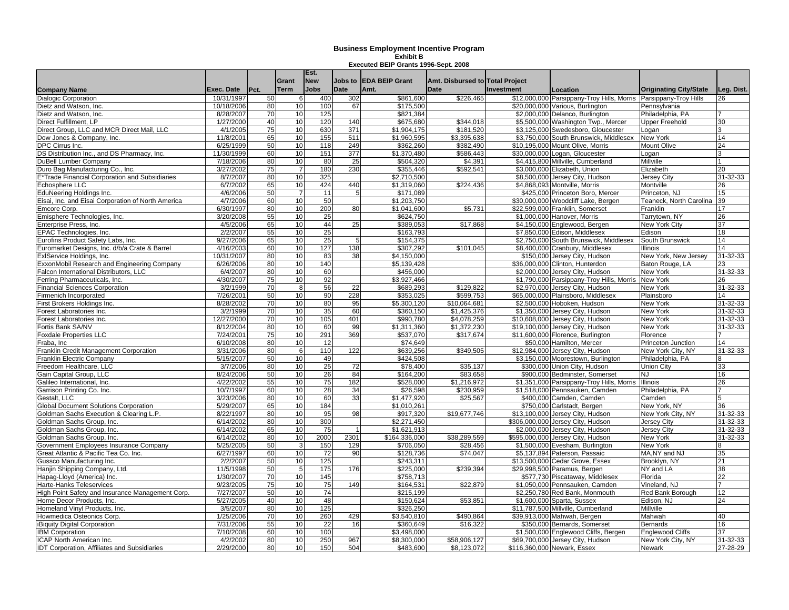|                                                    |            |      | Grant           | Est.<br><b>New</b> | Jobs to          | <b>IEDA BEIP Grant</b> |                                                |                   |                                            |                               |                 |
|----------------------------------------------------|------------|------|-----------------|--------------------|------------------|------------------------|------------------------------------------------|-------------------|--------------------------------------------|-------------------------------|-----------------|
| <b>Company Name</b>                                | Exec. Date | Pct. | <b>Term</b>     | <b>Jobs</b>        | Date             | Amt.                   | Amt. Disbursed to Total Project<br><b>Date</b> | <b>Investment</b> | Location                                   | <b>Originating City/State</b> | Leg. Dist.      |
| <b>Dialogic Corporation</b>                        | 10/31/1997 | 50   | 6               | 400                | 302              | \$861,600              | \$226,465                                      |                   | \$12,000,000 Parsippany-Troy Hills, Morris | Parsippany-Troy Hills         | 26              |
| Dietz and Watson, Inc.                             | 10/18/2006 | 80   | 10              | 100                | 67               | \$175,500              |                                                |                   | \$20,000,000 Various, Burlington           | Pennsylvania                  |                 |
| Dietz and Watson, Inc.                             | 8/28/2007  | 70   | 10              | 125                |                  | \$821,384              |                                                |                   | \$2,000,000 Delanco, Burlington            | Philadelphia, PA              |                 |
| Direct Fulfillment, LP                             | 1/27/2000  | 40   | 10              | 120                | 140              | \$675,680              | \$344,018                                      |                   | \$5,500,000 Washington Twp., Mercer        | <b>Upper Freehold</b>         | 30              |
| Direct Group, LLC and MCR Direct Mail, LLC         | 4/1/2005   | 75   | 10              | 630                | 371              | \$1,904,175            | \$181,520                                      |                   | \$3,125,000 Swedesboro, Gloucester         | ogan                          |                 |
| Dow Jones & Company, Inc.                          | 11/8/2001  | 65   | 10              | 155                | 511              | \$1,960,595            | \$3,395,638                                    |                   | \$3.750.000 South Brunswick, Middlesex     | New York                      | 14              |
| DPC Cirrus Inc.                                    | 6/25/1999  | 50   | 10              | 118                | 249              | \$362,260              | \$382,490                                      |                   | \$10.195.000 Mount Olive. Morris           | Mount Olive                   | 24              |
| DS Distribution Inc., and DS Pharmacy, Inc.        | 11/30/1999 | 60   | 10              | 151                | $\overline{377}$ | \$1,370,480            | \$586,443                                      |                   | \$30,000,000 Logan, Gloucester             | oqan                          |                 |
| DuBell Lumber Company                              | 7/18/2006  | 80   | 10              | 80                 | 25               | \$504,320              | \$4,391                                        |                   | \$4,415,800 Millville, Cumberland          | Millville                     |                 |
| Duro Bag Manufacturing Co., Inc.                   | 3/27/2002  | 75   | $\overline{7}$  | 180                | 230              | \$355,446              | \$592,541                                      |                   | \$3,000,000 Elizabeth, Union               | Elizabeth                     | 20              |
| E*Trade Financial Corporation and Subsidiaries     | 8/7/2007   | 80   | 10              | 325                |                  | \$2,710,500            |                                                |                   | \$8,500,000 Jersey City, Hudson            | Jersey City                   | 31-32-33        |
| Echosphere LLC                                     | 6/7/2002   | 65   | 10              | 424                | 440              | \$1,319,060            | \$224,436                                      |                   | \$4,868,093 Montville, Morris              | Montville                     | 26              |
| EduNeering Holdings Inc.                           | 4/6/2006   | 50   | $\overline{7}$  | 11                 | -5               | \$171,089              |                                                |                   | \$425,000 Princeton Boro, Mercer           | Princeton, NJ                 | 15              |
| Eisai, Inc. and Eisai Corporation of North America | 4/7/2006   | 60   | 10              | 50                 |                  | \$1,203,750            |                                                |                   | \$30,000,000 Woodcliff Lake, Bergen        | Teaneck, North Carolina       | 39              |
| Emcore Corp.                                       | 6/30/1997  | 80   | 10              | 200                | 80               | \$1.041.600            | \$5.731                                        |                   | \$22,599,000 Franklin, Somerset            | Franklin                      | 17              |
| Emisphere Technologies, Inc.                       | 3/20/2008  | 55   | 10              | 25                 |                  | \$624,750              |                                                |                   | \$1,000,000 Hanover, Morris                | Tarrytown, NY                 | 26              |
| Enterprise Press, Inc.                             | 4/5/2006   | 65   | 10              | 44                 | 25               | \$389,053              | \$17,868                                       |                   | \$4,150,000 Englewood, Bergen              | New York City                 | 37              |
| EPAC Technologies, Inc.                            | 2/2/2007   | 55   | 10              | 25                 |                  | \$163,793              |                                                |                   | \$7,850,000 Edison, Middlesex              | Edison                        | 18              |
| Eurofins Product Safety Labs, Inc.                 | 9/27/2006  | 65   | 10              | 25                 | 5                | \$154,375              |                                                |                   | \$2,750,000 South Brunswick, Middlesex     | South Brunswick               | 14              |
| Euromarket Designs, Inc. d/b/a Crate & Barrel      | 4/16/2003  | 60   | 10              | 127                | 138              | \$307,292              | \$101,045                                      |                   | \$8,400,000 Cranbury, Middlesex            | Illinois                      | 14              |
| ExIService Holdings, Inc.                          | 10/31/2007 | 80   | 10              | 83                 | 38               | \$4,150,000            |                                                |                   | \$150,000 Jersey City, Hudson              | New York, New Jersey          | 31-32-33        |
| ExxonMobil Research and Engineering Company        | 6/26/2006  | 80   | 10              | 140                |                  | \$5.139.428            |                                                |                   | \$36.000.000 Clinton, Hunterdon            | Baton Rouge, LA               | 23              |
| Falcon International Distributors, LLC             | 6/4/2007   | 80   | 10              | 60                 |                  | \$456,000              |                                                |                   | \$2,000,000 Jersey City, Hudson            | New York                      | 31-32-33        |
| Ferring Pharmaceuticals, Inc.                      | 4/30/2007  | 75   | 10              | 92                 |                  | \$3,927,466            |                                                |                   | \$1,790,000 Parsippany-Troy Hills, Morris  | New York                      | 26              |
| <b>Financial Sciences Corporation</b>              | 3/2/1999   | 70   | 8               | 56                 | 22               | \$689.293              | \$129.822                                      |                   | \$2,970,000 Jersey City, Hudson            | New York                      | 31-32-33        |
| Firmenich Incorporated                             | 7/26/2001  | 50   | 10 <sup>1</sup> | 90                 | 228              | \$353,025              | \$599,753                                      |                   | \$65,000,000 Plainsboro, Middlesex         | Plainsboro                    | 14              |
| First Brokers Holdings Inc.                        | 8/28/2002  | 70   | 10              | 80                 | 95               | \$5,300,120            | \$10.064.681                                   |                   | \$2.500.000 Hoboken, Hudson                | New York                      | 31-32-33        |
| Forest Laboratories Inc.                           | 3/2/1999   | 70   | 10              | 35                 | 60               | \$360,150              | \$1,425,376                                    |                   | \$1,350,000 Jersey City, Hudson            | New York                      | $31 - 32 - 33$  |
| Forest Laboratories Inc.                           | 12/27/2000 | 70   | 10              | 105                | 401              | \$990,780              | \$4,078,259                                    |                   | \$10,608,000 Jersey City, Hudson           | New York                      | 31-32-33        |
| Fortis Bank SA/NV                                  | 8/12/2004  | 80   | 10              | 60                 | 99               | \$1,311,360            | \$1,372,230                                    |                   | \$19,100,000 Jersey City, Hudson           | New York                      | 31-32-33        |
| <b>Foxdale Properties LLC</b>                      | 7/24/2001  | 75   | 10              | 291                | 369              | \$537,070              | \$317,674                                      |                   | \$11,600,000 Florence, Burlington          | Florence                      |                 |
| Fraba, Inc                                         | 6/10/2008  | 80   | 10              | 12                 |                  | \$74,649               |                                                |                   | \$50,000 Hamilton, Mercer                  | Princeton Junction            | 14              |
| Franklin Credit Management Corporation             | 3/31/2006  | 80   | 6               | 110                | 122              | \$639,256              | \$349,505                                      |                   | \$12,984,000 Jersey City, Hudson           | New York City, NY             | 31-32-33        |
| <b>Franklin Electric Company</b>                   | 5/15/2007  | 50   | 10              | 49                 |                  | \$424,508              |                                                |                   | \$3,150,000 Moorestown, Burlington         | Philadelphia, PA              |                 |
| Freedom Healthcare, LLC                            | 3/7/2006   | 80   | 10              | 25                 | 72               | \$78,400               | \$35.137                                       |                   | \$300,000 Union City, Hudson               | Union City                    | 33              |
| Gain Capital Group, LLC                            | 8/24/2006  | 50   | 10              | 26                 | 84               | \$164,200              | \$83,658                                       |                   | \$900,000 Bedminster, Somerset             | NJ                            | 16              |
| Galileo International, Inc.                        | 4/22/2002  | 55   | 10              | 75                 | 182              | \$528,000              | \$1,216,972                                    |                   | \$1,351,000 Parsippany-Troy Hills, Morris  | Illinois                      | 26              |
| Garrison Printing Co. Inc.                         | 10/7/1997  | 60   | 10              | 28                 | 34               | \$26,598               | \$230,959                                      |                   | \$1,518,000 Pennsauken, Camden             | Philadelphia, PA              |                 |
| Gestalt. LLC                                       | 3/23/2006  | 80   | 10              | 60                 | 33               | \$1,477,920            | \$25,567                                       |                   | \$400,000 Camden, Camden                   | Camden                        |                 |
| Global Document Solutions Corporation              | 5/29/2007  | 65   | 10              | 184                |                  | \$1,010,261            |                                                |                   | \$750,000 Carlstadt, Bergen                | New York, NY                  | 36              |
| Goldman Sachs Execution & Clearing L.P.            | 8/22/1997  | 80   | 10              | 95                 | 98               | \$917,320              | \$19,677,746                                   |                   | \$13,100,000 Jersey City, Hudson           | New York City, NY             | 31-32-33        |
| Goldman Sachs Group, Inc.                          | 6/14/2002  | 80   | 10              | 300                |                  | \$2.271.450            |                                                |                   | \$306,000,000 Jersey City, Hudson          | <b>Jersey City</b>            | 31-32-33        |
| Goldman Sachs Group, Inc.                          | 6/14/2002  | 65   | 10              | 75                 |                  | \$1,621,913            |                                                |                   | \$2,000,000 Jersey City, Hudson            | Jersey City                   | 31-32-33        |
| Goldman Sachs Group, Inc.                          | 6/14/2002  | 80   | 10              | 2000               | 2301             | \$164,336,000          | \$38,289,559                                   |                   | \$595,000,000 Jersey City, Hudson          | New York                      | 31-32-33        |
| Government Employees Insurance Company             | 5/25/2005  | 50   |                 | 150                | 129              | \$706,050              | \$28.456                                       |                   | \$1,500,000 Evesham, Burlington            | New York                      |                 |
| Great Atlantic & Pacific Tea Co. Inc.              | 6/27/1997  | 60   | 10              | $\overline{72}$    | 90               | \$128,736              | \$74.047                                       |                   | \$5,137,894 Paterson, Passaic              | MA, NY and NJ                 | 35              |
| Gussco Manufacturing Inc.                          | 2/2/2007   | 50   | 10              | 125                |                  | \$243,311              |                                                |                   | \$13,500,000 Cedar Grove, Essex            | Brooklyn, NY                  | 21              |
| Hanjin Shipping Company, Ltd.                      | 11/5/1998  | 50   | $5\overline{5}$ | 175                | 176              | \$225,000              | \$239,394                                      |                   | \$29,998,500 Paramus, Bergen               | NY and LA                     | 38              |
| Hapag-Llovd (America) Inc.                         | 1/30/2007  | 70   | 10              | 145                |                  | \$758.713              |                                                |                   | \$577,730 Piscataway, Middlesex            | Florida                       | $\overline{22}$ |
| Harte-Hanks Teleservices                           | 9/23/2005  | 75   | 10              | 75                 | 149              | \$164,531              | \$22,879                                       |                   | \$1,050,000 Pennsauken, Camden             | Vineland, NJ                  |                 |
| High Point Safety and Insurance Management Corp.   | 7/27/2007  | 50   | 10              | $\overline{74}$    |                  | \$215,199              |                                                |                   | \$2,250,780 Red Bank, Monmouth             | Red Bank Borough              | 12              |
| Home Decor Products, Inc.                          | 5/27/2005  | 40   | 10              | 48                 |                  | \$150,624              | \$53,851                                       |                   | \$1,600,000 Sparta, Sussex                 | Edison, NJ                    | 24              |
| Homeland Vinyl Products, Inc.                      | 3/5/2007   | 80   | 10<br>10        | 125                |                  | \$326,250              |                                                |                   | \$11,787,500 Millville, Cumberland         | Millville                     | 40              |
| Howmedica Osteonics Corp.                          | 1/25/2006  | 70   |                 | 260                | 429              | \$3,540,810            | \$490,864                                      |                   | \$39,913,000 Mahwah, Bergen                | Mahwah                        |                 |
| iBiquity Digital Corporation                       | 7/31/2006  | 55   | 10<br>10        | 22<br>100          | 16               | \$360.649              | \$16.322                                       |                   | \$350,000 Bernards, Somerset               | <b>Bernards</b>               | 16              |
| <b>IBM Corporation</b>                             | 7/10/2008  | 60   | 10              |                    |                  | \$3,498,000            |                                                |                   | \$1.500.000 Englewood Cliffs, Bergen       | <b>Englewood Cliffs</b>       | 37              |
| ICAP North American Inc.                           | 4/2/2002   | 80   |                 | 250                | 967              | \$8,300,000            | \$58,906,127                                   |                   | \$69,700,000 Jersey City, Hudson           | New York City, NY             | 31-32-33        |
| IDT Corporation, Affiliates and Subsidiaries       | 2/29/2000  | 80   | 10              | 150                | 504              | \$483,600              | \$8,123,072                                    |                   | \$116,360,000 Newark, Essex                | Newark                        | 27-28-29        |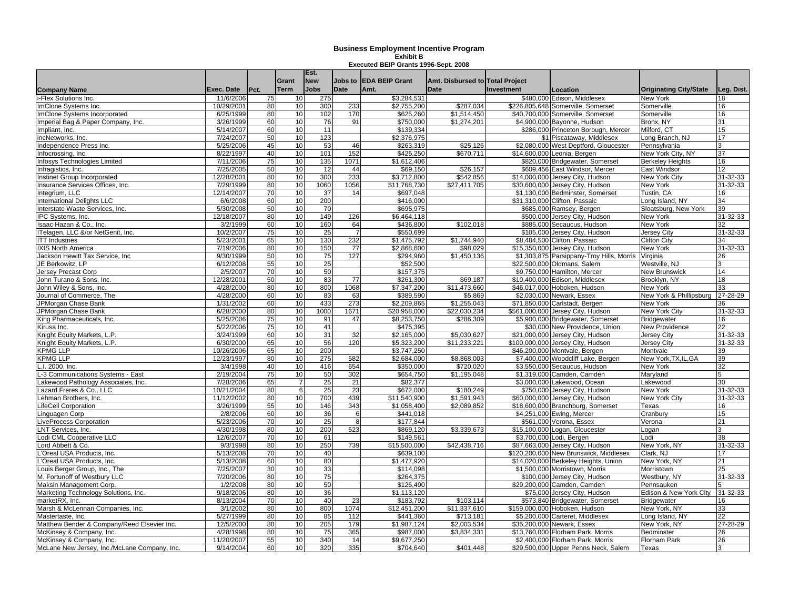|                                              |                        |          |                      | Est.<br><b>New</b> |                 |                               |                                                |                   |                                                                    |                                 |                 |
|----------------------------------------------|------------------------|----------|----------------------|--------------------|-----------------|-------------------------------|------------------------------------------------|-------------------|--------------------------------------------------------------------|---------------------------------|-----------------|
|                                              | Exec. Date             | Pct.     | Grant<br><b>Term</b> | <b>Jobs</b>        | Jobs to<br>Date | <b>EDA BEIP Grant</b><br>Amt. | Amt. Disbursed to Total Project<br><b>Date</b> | <b>Investment</b> |                                                                    | <b>Originating City/State</b>   | Leg. Dist.      |
| <b>Company Name</b><br>i-Flex Solutions Inc. | 11/6/2006              | 75       | 10                   | 275                |                 | \$3,284,531                   |                                                |                   | Location<br>\$480,000 Edison, Middlesex                            | <b>New York</b>                 | 18              |
| ImClone Systems Inc.                         | 10/29/2001             | 80       | 10                   | 300                | 233             | \$2,755,200                   | \$287,034                                      |                   | \$226,805,648 Somerville, Somerset                                 | Somerville                      | 16              |
| ImClone Systems Incorporated                 | 6/25/1999              | 80       | 10                   | 102                | 170             | \$625,260                     | \$1,514,450                                    |                   | \$40,700,000 Somerville, Somerset                                  | Somerville                      | 16              |
| Imperial Bag & Paper Company, Inc.           | 3/26/1999              | 60       | 10                   | 76                 | 91              | \$750,000                     | \$1,274,201                                    |                   | \$4,900,000 Bayonne, Hudson                                        | Bronx, NY                       | 31              |
|                                              |                        | 60       | 10                   | 11                 |                 |                               |                                                |                   |                                                                    | Milford, CT                     |                 |
| Impliant, Inc.                               | 5/14/2007              | 50       | 10                   | 123                |                 | \$139,334                     |                                                |                   | \$286,000 Princeton Borough, Mercer                                |                                 | 15              |
| incNetworks, Inc.<br>Independence Press Inc. | 7/24/2007<br>5/25/2006 | 45       | 10                   | 53                 | 46              | \$2,376,975<br>\$263,319      | \$25.126                                       |                   | \$1 Piscataway, Middlesex<br>\$2,080,000 West Deptford, Gloucester | Long Branch, NJ<br>Pennsvlvania | 17              |
| Infocrossing, Inc.                           | 8/22/1997              | 40       | 10                   | 101                | 152             | \$425,250                     | \$670,711                                      |                   | \$14,600,000 Leonia, Bergen                                        | New York City, NY               | 37              |
| Infosys Technologies Limited                 | 7/11/2006              | 75       | 10                   | 135                | 1071            | \$1,612,406                   |                                                |                   | \$820,000 Bridgewater, Somerset                                    | <b>Berkeley Heights</b>         | 16              |
| Infragistics, Inc.                           | 7/25/2005              | 50       | 10                   | 12                 | 44              | \$69,150                      | \$26,157                                       |                   | \$609,456 East Windsor, Mercer                                     | East Windsor                    | 12 <sup>2</sup> |
| Instinet Group Incorporated                  | 12/28/2001             | 80       | 10                   | 300                | 233             | \$3,712,800                   | \$542,856                                      |                   | \$14,000,000 Jersey City, Hudson                                   | New York City                   | 31-32-33        |
| Insurance Services Offices, Inc.             | 7/29/1999              | 80       | 10                   | 1060               | 1056            | \$11,768,730                  | \$27,411,705                                   |                   | \$30,600,000 Jersey City, Hudson                                   | New York                        | 31-32-33        |
| Integrium, LLC                               | 12/14/2007             | 70       | 10                   | $\overline{37}$    | 14              | \$697.048                     |                                                |                   | \$1.130.000 Bedminster, Somerset                                   | Tustin, CA                      | 16              |
| International Delights LLC                   | 6/6/2008               | 60       | 10                   | 200                |                 | \$416.000                     |                                                |                   | \$31.310.000 Clifton. Passaic                                      | Long Island, NY                 | 34              |
| Interstate Waste Services, Inc.              | 5/30/2008              | 50       | 10                   | 70                 |                 | \$695,975                     |                                                |                   | \$685,000 Ramsey, Bergen                                           | Sloatsburg, New York            | 39              |
| IPC Systems, Inc.                            | 12/18/2007             | 80       | 10                   | 149                | 126             | \$6,464,118                   |                                                |                   | \$500,000 Jersey City, Hudson                                      | New York                        | 31-32-33        |
| Isaac Hazan & Co., Inc.                      | 3/2/1999               | 60       | 10                   | 160                | 64              | \$436,800                     | \$102,018                                      |                   | \$885,000 Secaucus, Hudson                                         | New York                        | 32              |
|                                              |                        |          |                      |                    | $\overline{7}$  |                               |                                                |                   |                                                                    |                                 |                 |
| ITelagen, LLC &/or NetGenit, Inc.            | 10/2/2007              | 75<br>65 | 10<br>10             | 25<br>130          | 232             | \$550,699                     |                                                |                   | \$105,000 Jersey City, Hudson                                      | <b>Jersey City</b>              | 31-32-33<br>34  |
| <b>ITT Industries</b>                        | 5/23/2001              |          | 10                   | 150                |                 | \$1,475,792                   | $\overline{1,744,940}$                         |                   | \$8,484,500 Clifton, Passaic                                       | <b>Clifton City</b>             |                 |
| <b>IXIS North America</b>                    | 7/19/2006<br>9/30/1999 | 80       | 10                   |                    | 77<br>127       | \$2,868,600                   | \$98,029                                       |                   | \$15,350,000 Jersey City, Hudson                                   | New York<br>Virginia            | 31-32-33        |
| Jackson Hewitt Tax Service, Inc              |                        | 50       |                      | 75                 |                 | \$294,960                     | \$1,450,136                                    |                   | \$1,303,875 Parsippany-Troy Hills, Morris                          |                                 | 26              |
| JE Berkowitz, LP                             | 6/12/2008              | 55       | 10                   | 25                 |                 | \$52,500                      |                                                |                   | \$22,500,000 Oldmans, Salem                                        | Westville, NJ                   |                 |
| <b>Jersey Precast Corp</b>                   | 2/5/2007               | 70       | 10                   | 50                 |                 | \$157,375                     |                                                |                   | \$9,750,000 Hamilton, Mercer                                       | <b>New Brunswick</b>            | 14              |
| John Turano & Sons, Inc.                     | 12/28/2001             | 50       | 10                   | 83                 | 77              | \$261.300                     | \$69,187                                       |                   | \$10.400.000 Edison, Middlesex                                     | Brooklyn, NY                    | 18<br>33        |
| John Wiley & Sons, Inc.                      | 4/28/2000              | 80       | 10                   | 800                | 1068            | \$7,347,200                   | \$11,473,660                                   |                   | \$46,017,000 Hoboken, Hudson                                       | New York                        |                 |
| Journal of Commerce, The                     | 4/28/2000              | 60       | 10                   | 83                 | 63              | \$389,590                     | \$5,869                                        |                   | \$2,030,000 Newark, Essex                                          | New York & Phillipsburg         | 27-28-29        |
| JPMorgan Chase Bank                          | 1/31/2002              | 60       | 10                   | 433                | 273             | \$2,209.865                   | \$1,255,043                                    |                   | \$71,850,000 Carlstadt, Bergen                                     | New York                        | 36              |
| JPMorgan Chase Bank                          | 6/28/2000              | 80       | 10                   | 1000               | 1671            | \$20,958,000                  | \$22.030.234                                   |                   | \$561,000,000 Jersey City, Hudson                                  | New York City                   | 31-32-33        |
| King Pharmaceuticals, Inc.                   | 5/25/2006              | 75       | 10                   | 91                 | 47              | \$8,253,750                   | \$286,309                                      |                   | \$5,900,000 Bridgewater, Somerset                                  | <b>Bridgewater</b>              | 16              |
| Kirusa Inc.                                  | 5/22/2006              | 75       | 10                   | 41                 |                 | \$475.395                     |                                                |                   | \$30,000 New Providence, Union                                     | <b>New Providence</b>           | $\overline{22}$ |
| Knight Equity Markets, L.P.                  | 3/24/1999              | 60       | 10                   | 31                 | 32              | \$2,165,000                   | \$5,030,627                                    |                   | \$21,000,000 Jersey City, Hudson                                   | <b>Jersey City</b>              | 31-32-33        |
| Knight Equity Markets, L.P.                  | 6/30/2000              | 65       | 10                   | 56                 | 120             | \$5,323,200                   | \$11,233,221                                   |                   | \$100,000,000 Jersey City, Hudson                                  | <b>Jersey City</b>              | 31-32-33        |
| <b>KPMG LLP</b>                              | 10/26/2006             | 65       | 10                   | 200                |                 | \$3,747,250                   |                                                |                   | \$46,200,000 Montvale, Bergen                                      | Montvale                        | 39              |
| <b>KPMG LLP</b>                              | 12/23/1997             | 80       | 10                   | 275                | 582             | \$2,684,000                   | \$8,868,003                                    |                   | \$7,400,000 Woodcliff Lake, Bergen                                 | New York,TX,IL,GA               | 39              |
| L.I. 2000. Inc.                              | 3/4/1998               | 40       | 10                   | 416                | 654             | \$350,000                     | \$720,020                                      |                   | \$3,550,000 Secaucus, Hudson                                       | <b>New York</b>                 | 32              |
| L-3 Communications Systems - East            | 2/19/2004              | 75       | 10                   | 50                 | 302             | \$654.750                     | \$1.195.048                                    |                   | \$1.319,000 Camden, Camden                                         | Marvland                        |                 |
| Lakewood Pathology Associates, Inc.          | 7/28/2006              | 65       |                      | 25                 | 21              | \$82,377                      |                                                |                   | \$3,000,000 Lakewood, Ocean                                        | _akewood                        | 30              |
| Lazard Freres & Co., LLC                     | 10/21/2004             | 80       | $6 \overline{6}$     | 25                 | 23              | \$672,000                     | \$180,249                                      |                   | \$750,000 Jersey City, Hudson                                      | New York                        | 31-32-33        |
| Lehman Brothers, Inc.                        | 11/12/2002             | 80       | 10                   | 700                | 439             | \$11,540,900                  | \$1,591,943                                    |                   | \$60,000,000 Jersey City, Hudson                                   | New York City                   | 31-32-33        |
| <b>LifeCell Corporation</b>                  | 3/26/1999              | 55       | 10                   | 146                | 343             | \$1,058,400                   | \$2,089,852                                    |                   | \$18,600,000 Branchburg, Somerset                                  | Texas                           | 16              |
| Linguagen Corp                               | 2/8/2006               | 60       | 10                   | 36                 | 6               | \$441,018                     |                                                |                   | \$4,251,000 Ewing, Mercer                                          | Cranbury                        | 15              |
| LiveProcess Corporation                      | 5/23/2006              | 70       | 10                   | 25                 | 8               | \$177.844                     |                                                |                   | \$561,000 Verona, Essex                                            | Verona                          | 21              |
| LNT Services, Inc.                           | 4/30/1998              | 80       | 10                   | 200                | 523             | \$869,120                     | \$3,339,673                                    |                   | \$15,100,000 Logan, Gloucester                                     | .ogan                           | $\overline{38}$ |
| Lodi CML Cooperative LLC                     | 12/6/2007              | 70       | 10                   | 61                 |                 | \$149,561                     |                                                |                   | \$3,700,000 Lodi, Bergen                                           | .odi                            |                 |
| Lord Abbett & Co.                            | 9/3/1998               | 80       | 10                   | 250                | 739             | \$15,500,000                  | \$42,438,716                                   |                   | \$87,663,000 Jersey City, Hudson                                   | New York, NY                    | 31-32-33        |
| L'Oreal USA Products, Inc.                   | 5/13/2008              | 70       | 10                   | 40                 |                 | \$639,100                     |                                                |                   | \$120,200,000 New Brunswick, Middlesex                             | Clark, NJ                       | 17              |
| L'Oreal USA Products, Inc.                   | 5/13/2008              | 60       | 10                   | 80                 |                 | \$1,477,920                   |                                                |                   | \$14,020,000 Berkeley Heights, Union                               | New York, NY                    |                 |
| Louis Berger Group, Inc., The                | 7/25/2007              | 30       | 10                   | 33                 |                 | \$114.098                     |                                                |                   | \$1,500,000 Morristown, Morris                                     | Morristown                      | 25              |
| M. Fortunoff of Westbury LLC                 | 7/20/2006              | 80       | 10                   | 75                 |                 | \$264,375                     |                                                |                   | \$100,000 Jersey City, Hudson                                      | Westbury, NY                    | 31-32-33        |
| Maksin Management Corp.                      | 1/2/2008               | 80       | 10                   | 50                 |                 | \$126.490                     |                                                |                   | \$29.200.000 Camden, Camden                                        | Pennsauken                      |                 |
| Marketing Technology Solutions, Inc.         | 9/18/2006              | 80       | 10                   | 36                 |                 | \$1.113.120                   |                                                |                   | \$75,000 Jersey City, Hudson                                       | Edison & New York City          | 31-32-33        |
| marketRX, Inc.                               | 8/13/2004              | 70       | 10                   | 40                 | 23              | \$183,792                     | \$103,114                                      |                   | \$573,840 Bridgewater, Somerset                                    | <b>Bridgewater</b>              | 16              |
| Marsh & McLennan Companies, Inc.             | 3/1/2002               | 80       | 10                   | 800                | 1074            | \$12,451,200                  | \$11,337,610                                   |                   | \$159,000,000 Hoboken, Hudson                                      | New York, NY                    | 33              |
| Mastertaste, Inc.                            | 5/27/1999              | 80       | 10                   | 85                 | 112             | \$441,360                     | \$713,181                                      |                   | \$5,200,000 Carteret, Middlesex                                    | Long Island, NY                 | 22              |
| Matthew Bender & Company/Reed Elsevier Inc.  | 12/5/2000              | 80       | 10                   | 205                | 179             | \$1,987,124                   | \$2,003,534                                    |                   | \$35,200,000 Newark, Essex                                         | New York, NY                    | 27-28-29        |
| McKinsey & Company, Inc.                     | 4/28/1998              | 80       | 10                   | 75                 | 365             | \$987,000                     | \$3,834,331                                    |                   | \$13,760,000 Florham Park, Morris                                  | <b>Bedminster</b>               | 26              |
| McKinsey & Company, Inc.                     | 11/20/2007             | 55       | 10                   | 340                | 14              | \$9,677,250                   |                                                |                   | \$2,400,000 Florham Park, Morris                                   | <b>Florham Park</b>             | 26              |
| McLane New Jersey, Inc./McLane Company, Inc. | 9/14/2004              | 60       | 10                   | 320                | 335             | \$704,640                     | \$401,448                                      |                   | \$29,500,000 Upper Penns Neck, Salem                               | Texas                           |                 |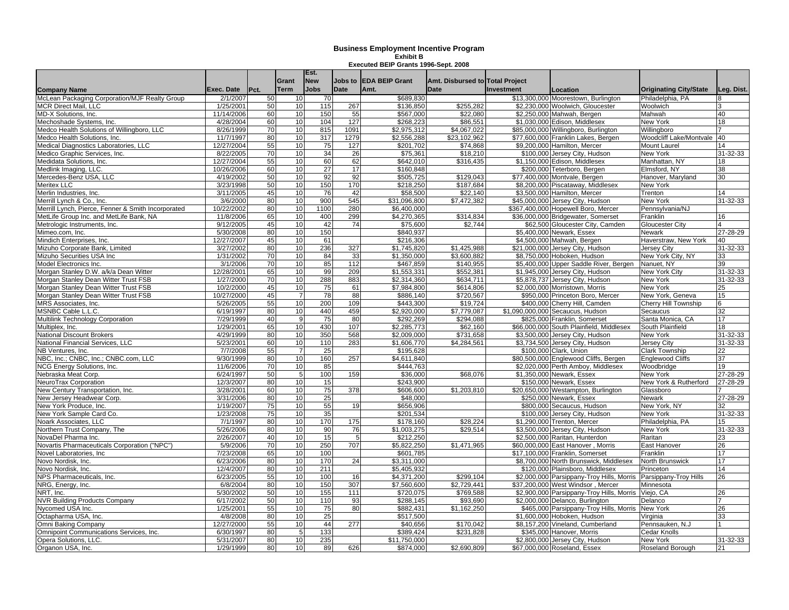|                                                                    |            |          | Grant           | Est.<br><b>New</b> | Jobs to     | <b>EDA BEIP Grant</b>    | Amt. Disbursed to Total Project |            |                                                                 |                                      |            |
|--------------------------------------------------------------------|------------|----------|-----------------|--------------------|-------------|--------------------------|---------------------------------|------------|-----------------------------------------------------------------|--------------------------------------|------------|
| Company Name                                                       | Exec. Date | Pct.     | <b>Term</b>     | <b>Jobs</b>        | <b>Date</b> | Amt.                     | <b>Date</b>                     | Investment | Location                                                        | <b>Originating City/State</b>        | Leg. Dist. |
| McLean Packaging Corporation/MJF Realty Group                      | 2/1/2007   | 50       | 10              | 70                 |             | \$689,830                |                                 |            | \$13,300,000 Moorestown, Burlington                             | Philadelphia, PA                     |            |
| <b>MCR Direct Mail, LLC</b>                                        | 1/25/2001  | 50       | 10              | 115                | 267         | \$136,850                | \$255,282                       |            | \$2,230,000 Woolwich, Gloucester                                | Woolwich                             |            |
| MD-X Solutions, Inc.                                               | 11/14/2006 | 60       | 10              | 150                | 55          | \$567,000                | \$22,080                        |            | \$2,250,000 Mahwah, Bergen                                      | Mahwah                               | 40         |
| Mechoshade Systems, Inc.                                           | 4/28/2004  | 60       | 10              | 104                | 127         | \$268,223                | \$86,551                        |            | \$1,030,000 Edison, Middlesex                                   | New York                             | 18         |
| Medco Health Solutions of Willingboro, LLC                         | 8/26/1999  | 70       | 10              | 815                | 1091        | \$2,975,312              | \$4.067.022                     |            | \$85,000,000 Willingboro, Burlington                            | Willingboro                          |            |
| Medco Health Solutions, Inc.                                       | 11/7/1997  | 80       | 10              | 317                | 1279        | \$2,556,288              | \$23,102,962                    |            | \$77,600,000 Franklin Lakes, Bergen                             | Woodcliff Lake/Montvale              | 40         |
| Medical Diagnostics Laboratories, LLC                              | 12/27/2004 | 55       | 10              | 75                 | 127         | \$201,702                | \$74,868                        |            | \$9,200,000 Hamilton, Mercer                                    | Mount Laurel                         | 14         |
| Medico Graphic Services, Inc.                                      | 8/22/2005  | 70       | 10              | 34                 | 26          | \$75.361                 | \$18,210                        |            | \$100,000 Jersey City, Hudson                                   | New York                             | 31-32-33   |
| Medidata Solutions, Inc.                                           | 12/27/2004 | 55       | 10              | 60                 | 62          | \$642,010                | \$316,435                       |            | \$1,150,000 Edison, Middlesex                                   | Manhattan, NY                        | 18         |
| Medlink Imaging, LLC.                                              | 10/26/2006 | 60       | 10              | $\overline{27}$    | 17          | \$160,848                |                                 |            | \$200,000 Teterboro, Bergen                                     | Elmsford, NY                         | 38         |
| Mercedes-Benz USA, LLC                                             | 4/19/2002  | 50       | 10              | 92                 | 92          | \$505,725                | \$129,043                       |            | \$77,400,000 Montvale, Bergen                                   | Hanover, Maryland                    | 30         |
| Meritex LLC                                                        | 3/23/1998  | 50       | 10              | 150                | 170         | \$218,250                | \$187,684                       |            | \$8,200,000 Piscataway, Middlesex                               | New York                             |            |
| Merlin Industries, Inc.                                            | 3/11/2005  | 45       | 10              | 76                 | 42          | \$58,500                 | \$22,140                        |            | \$3,500,000 Hamilton, Mercer                                    | Trenton                              | 14         |
| Merrill Lynch & Co., Inc.                                          | 3/6/2000   | 80       | 10              | 900                | 545         | \$31,096,800             | $\overline{37,472,382}$         |            | \$45,000,000 Jersey City, Hudson                                | New York                             | 31-32-33   |
| Merrill Lynch, Pierce, Fenner & Smith Incorporated                 | 10/22/2002 | 80       | 10              | 1100               | 280         | \$6,400,000              |                                 |            | \$367,400,000 Hopewell Boro, Mercer                             | Pennsvlvania/NJ                      |            |
| MetLife Group Inc. and MetLife Bank, NA                            | 11/8/2006  | 65       | 10              | 400                | 299         | \$4,270,365              | \$314,834                       |            | \$36,000,000 Bridgewater, Somerset                              | Franklin                             | 16         |
| Metrologic Instruments, Inc.                                       | 9/12/2005  | 45       | 10              | 42                 | 74          | \$75,600                 | \$2,744                         |            | \$62,500 Gloucester City, Camden                                | Gloucester City                      |            |
| Mimeo.com, Inc.                                                    | 5/30/2008  | 80       | 10              | 150                |             | \$840,937                |                                 |            | \$5,400,000 Newark, Essex                                       | Newark                               | 27-28-29   |
| Mindich Enterprises, Inc.                                          | 12/27/2007 | 45       | 10              | 61                 |             | \$216,306                |                                 |            | \$4,500,000 Mahwah, Bergen                                      | Haverstraw, New York                 | 40         |
| Mizuho Corporate Bank, Limited                                     | 3/27/2002  | 80       | 10              | 236                | 327         | \$1,745,820              | \$1,425,988                     |            | \$21,000,000 Jersey City, Hudson                                | <b>Jersey City</b>                   | 31-32-33   |
| Mizuho Securities USA Inc                                          | 1/31/2002  | 70       | 10              | 84                 | 33          | \$1,350,000              | \$3,600,882                     |            | \$8,750,000 Hoboken, Hudson                                     | New York City, NY                    | 33         |
| Model Electronics Inc.                                             | 3/1/2006   | 70       | 10              | 85                 | 112         | \$467.859                | \$140.955                       |            | \$5.400,000 Upper Saddle River, Bergen                          | Nanuet. NY                           | 39         |
| Morgan Stanley D.W. a/k/a Dean Witter                              | 12/28/2001 | 65       | 10              | 99                 | 209         | \$1,553,331              | \$552,381                       |            | \$1,945,000 Jersey City, Hudson                                 | New York City                        | 31-32-33   |
| Morgan Stanley Dean Witter Trust FSB                               | 1/27/2000  | 70       | 10              | 288                | 883         | \$2,314,360              | \$634.711                       |            | \$5,878,737 Jersey City, Hudson                                 | New York                             | 31-32-33   |
| Morgan Stanley Dean Witter Trust FSB                               | 10/2/2000  | 45       | 10              | 75                 | 61          | \$7,984,800              | \$614,806                       |            | \$2,000,000 Morristown, Morris                                  | New York                             | 25         |
| Morgan Stanley Dean Witter Trust FSB                               | 10/27/2000 | 45       |                 | 78                 | 88          | \$886,140                | \$720,567                       |            | \$950,000 Princeton Boro, Mercer                                | New York, Geneva                     | 15         |
| MRS Associates, Inc.                                               | 5/26/2005  | 55       | 10              | 200                | 109         | \$443.300                | \$19,724                        |            | \$400,000 Cherry Hill, Camden                                   | <b>Cherry Hill Township</b>          | 6          |
| MSNBC Cable L.L.C.                                                 | 6/19/1997  | 80       | 10              | 440                | 459         | \$2,920,000              | \$7.779.087                     |            | \$1.090.000.000 Secaucus, Hudson                                | Secaucus                             | 32         |
| Multilink Technology Corporation                                   | 7/29/1999  | 40       | 9               | 75                 | 80          | \$292,269                | \$294,088                       |            | \$825,000 Franklin, Somerset                                    | Santa Monica, CA                     | 17         |
| Multiplex. Inc.                                                    | 1/29/2001  | 65       | 10              | 430                | 107         | \$2,285,773              | \$62.160                        |            | \$66,000,000 South Plainfield, Middlesex                        | South Plainfield                     | 18         |
| <b>National Discount Brokers</b>                                   | 4/29/1999  | 80       | 10              | 350                | 568         | \$2,009,000              | \$731,658                       |            | \$3,500,000 Jersey City, Hudson                                 | New York                             | 31-32-33   |
|                                                                    | 5/23/2001  |          | 10              | 110                | 283         |                          |                                 |            |                                                                 |                                      | 31-32-33   |
| National Financial Services, LLC                                   | 7/7/2008   | 60<br>55 |                 | 25                 |             | \$1,606,770              | \$4,284,561                     |            | \$3,734,500 Jersey City, Hudson<br>\$100,000 Clark, Union       | Jersey City<br><b>Clark Township</b> |            |
| NB Ventures, Inc.                                                  | 9/30/1999  | 80       | 10              | 160                | 257         | \$195,628<br>\$4.611.840 |                                 |            |                                                                 | <b>Englewood Cliffs</b>              | 22<br>37   |
| NBC, Inc.; CNBC, Inc.; CNBC.com, LLC<br>NCG Energy Solutions, Inc. | 11/6/2006  | 70       | 10              | 85                 |             | \$444.763                |                                 |            | \$80,500,000 Englewood Cliffs, Bergen                           |                                      | 19         |
| Nebraska Meat Corp.                                                | 6/24/1997  | 50       | 5 <sub>5</sub>  | 100                | 159         | \$36,000                 | \$68,076                        |            | \$2,020,000 Perth Amboy, Middlesex<br>\$1,350,000 Newark, Essex | Woodbridge                           | 27-28-29   |
|                                                                    | 12/3/2007  | 80       | 10              | 15                 |             | \$243,900                |                                 |            |                                                                 | New York<br>New York & Rutherford    | 27-28-29   |
| NeuroTrax Corporation                                              |            |          |                 |                    |             |                          |                                 |            | \$150,000 Newark, Essex                                         |                                      |            |
| New Century Transportation, Inc.                                   | 3/28/2001  | 60       | 10              | 75                 | 378         | \$606,600                | \$1,203,810                     |            | \$20,650,000 Westampton, Burlington                             | Glassboro                            |            |
| New Jersey Headwear Corp.                                          | 3/31/2006  | 80       | 10              | 25                 |             | \$48,000                 |                                 |            | \$250,000 Newark, Essex                                         | Newark                               | 27-28-29   |
| New York Produce, Inc.                                             | 1/19/2007  | 75       | 10              | 55                 | 19          | \$656,906                |                                 |            | \$800,000 Secaucus, Hudson                                      | New York, NY                         | 32         |
| New York Sample Card Co.                                           | 1/23/2008  | 75       | 10 <sup>1</sup> | 35<br>170          |             | \$201,534                |                                 |            | \$100,000 Jersey City, Hudson                                   | New York                             | 31-32-33   |
| Noark Associates, LLC                                              | 7/1/1997   | 80<br>80 | 10<br>10        |                    | 175         | \$178,160                | \$28,224                        |            | \$1,290,000 Trenton, Mercer                                     | Philadelphia, PA                     | 15         |
| Northern Trust Company, The                                        | 5/26/2006  |          |                 | 90                 | 76          | \$1.003.275              | \$29.514                        |            | \$3.500.000 Jersey City, Hudson                                 | New York                             | 31-32-33   |
| NovaDel Pharma Inc.                                                | 2/26/2007  | 40       | 10              | 15                 |             | \$212,250                |                                 |            | \$2,500,000 Raritan, Hunterdon                                  | Raritan                              | 23         |
| Novartis Pharmaceuticals Corporation ("NPC")                       | 5/9/2006   | 70       | 10              | 250                | 707         | \$5,822,250              | \$1,471,965                     |            | \$60,000,000 East Hanover, Morris                               | East Hanover                         | 26         |
| Novel Laboratories, Inc.                                           | 7/23/2008  | 65       | 10              | 100                |             | \$601,785                |                                 |            | \$17,100,000 Franklin, Somerset                                 | Franklin                             | 17         |
| Novo Nordisk, Inc.                                                 | 6/23/2006  | 80       | 10              | 170                | 24          | \$3,311,000              |                                 |            | \$8,700,000 North Brunswick, Middlesex                          | North Brunswick                      | 17         |
| Novo Nordisk, Inc.                                                 | 12/4/2007  | 80       | 10              | 211                |             | \$5,405,932              |                                 |            | \$120,000 Plainsboro, Middlesex                                 | Princeton                            | 14         |
| NPS Pharmaceuticals. Inc.                                          | 6/23/2005  | 55       | 10              | 100                | 16          | \$4,371,200              | \$299.104                       |            | \$2,000,000 Parsippany-Trov Hills, Morris                       | Parsippany-Troy Hills                | 26         |
| NRG, Energy, Inc.                                                  | 6/8/2004   | 80       | 10              | 150                | 307         | \$7,560,600              | \$2.729.441                     |            | \$37.200.000 West Windsor, Mercer                               | Minnesota                            |            |
| NRT. Inc.                                                          | 5/30/2002  | 50       | 10              | 155                | 111         | \$720,075                | \$769,588                       |            | \$2,900,000 Parsippany-Troy Hills, Morris                       | Viejo, CA                            | 26         |
| <b>NVR Building Products Company</b>                               | 6/17/2002  | 50       | 10              | 110                | 93          | \$288.145                | \$93,690                        |            | \$2,000,000 Delanco, Burlington                                 | Delanco                              |            |
| Nycomed USA Inc.                                                   | 1/25/2001  | 55       | 10              | 75                 | 80          | \$882,431                | \$1,162,250                     |            | \$465,000 Parsippany-Troy Hills, Morris                         | New York                             | 26         |
| Octapharma USA, Inc.                                               | 4/8/2008   | 80       | 10              | 25                 |             | \$517,500                |                                 |            | \$1,600,000 Hoboken, Hudson                                     | Virginia                             | 33         |
| Omni Baking Company                                                | 12/27/2000 | 55       | 10              | 44                 | 277         | \$40,656                 | \$170,042                       |            | \$8,157,200 Vineland, Cumberland                                | Pennsauken, N.J                      |            |
| Omnipoint Communications Services, Inc.                            | 6/30/1997  | 80       | 5               | 133                |             | \$389,424                | \$231,828                       |            | \$345,000 Hanover, Morris                                       | Cedar Knolls                         |            |
| Opera Solutions, LLC.                                              | 5/31/2007  | 80       | 10              | 235                |             | \$11,750,000             |                                 |            | \$2,800,000 Jersey City, Hudson                                 | New York                             | 31-32-33   |
| Organon USA, Inc.                                                  | 1/29/1999  | 80       | 10              | 89                 | 626         | \$874,000                | \$2,690,809                     |            | \$67,000,000 Roseland, Essex                                    | Roseland Borough                     | 21         |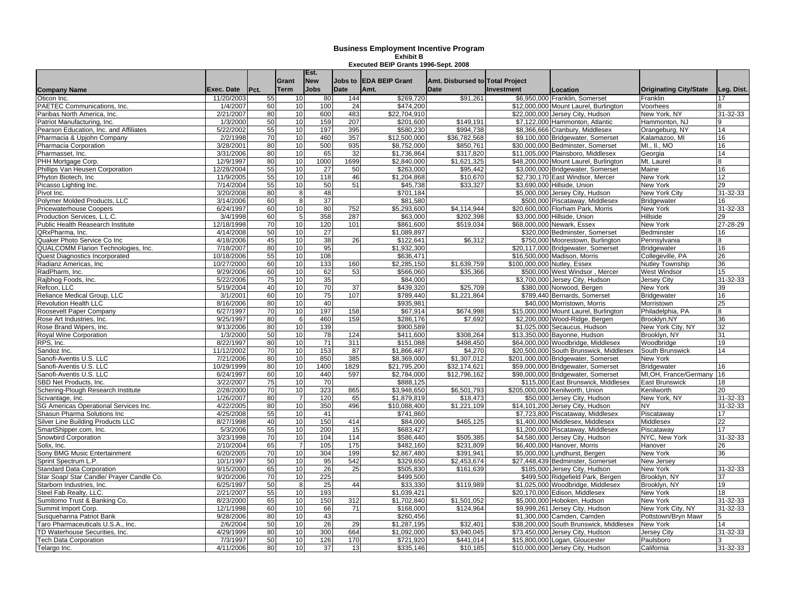| <b>Company Name</b>                       | Exec. Date | Pct.            | Grant<br><b>Term</b> | Est.<br><b>New</b><br><b>Jobs</b> | Jobs to<br><b>Date</b> | <b>EDA BEIP Grant</b><br>Amt. | Amt. Disbursed to Total Project<br><b>Date</b> | <b>Investment</b> | Location                                | <b>Originating City/State</b> | Leg. Dist.      |
|-------------------------------------------|------------|-----------------|----------------------|-----------------------------------|------------------------|-------------------------------|------------------------------------------------|-------------------|-----------------------------------------|-------------------------------|-----------------|
| Oticon Inc.                               | 11/20/2003 | 55              | 10                   | 80                                | 144                    | \$269,720                     | \$91,261                                       |                   | \$6,950,000 Franklin, Somerset          | Franklin                      | 17              |
| PAETEC Communications, Inc.               | 1/4/2007   | 60              | 10                   | 100                               | 24                     | \$474,200                     |                                                |                   | \$12,000,000 Mount Laurel, Burlington   | Voorhees                      |                 |
| Paribas North America, Inc.               | 2/21/2007  | 80              | 10                   | 600                               | 483                    | \$22,704,910                  |                                                |                   | \$22,000,000 Jersey City, Hudson        | New York, NY                  | 31-32-33        |
| Patriot Manufacturing, Inc.               | 1/3/2000   | 50              | 10                   | 159                               | 207                    | \$201,600                     | \$149,191                                      |                   | \$7,122,000 Hammonton, Atlantic         | Hammonton, NJ                 | 9               |
| Pearson Education, Inc. and Affiliates    | 5/22/2002  | 55              | 10                   | 197                               | 395                    | \$580,230                     | \$994.738                                      |                   | \$8,366,666 Cranbury, Middlesex         | Orangeburg, NY                | 14              |
| Pharmacia & Upjohn Company                | 2/2/1998   | 70              | 10                   | 460                               | 357                    | \$12,500,000                  | \$36,782,568                                   |                   | \$9,100,000 Bridgewater, Somerset       | Kalamazoo, MI                 | 16              |
| Pharmacia Corporation                     | 3/28/2001  | 80              | 10                   | 500                               | 935                    | \$8,752,000                   | \$850,761                                      |                   | \$30,000,000 Bedminster, Somerset       | MI., II., MO                  | 16              |
| Pharmasset. Inc.                          | 3/31/2006  | 80              | 10                   | 65                                | 32                     | \$1.736.864                   | \$317.820                                      |                   | \$11.005.000 Plainsboro, Middlesex      | Georgia                       | 14              |
| PHH Mortgage Corp.                        | 12/9/1997  | 80              | 10                   | 1000                              | 1699                   | \$2,840,000                   | \$1,621,325                                    |                   | \$48,200,000 Mount Laurel, Burlington   | Mt. Laurel                    |                 |
| Phillips Van Heusen Corporation           | 12/28/2004 | 55              | 10                   | 27                                | 50                     | \$263,000                     | \$95,442                                       |                   | \$3,000,000 Bridgewater, Somerset       | Maine                         | 16              |
| Phyton Biotech, Inc.                      | 11/9/2005  | 55              | 10                   | 118                               | 46                     | \$1,204,868                   | \$10,670                                       |                   | \$2,730,170 East Windsor, Mercer        | New York                      | 12              |
| Picasso Lighting Inc.                     | 7/14/2004  | 55              | 10                   | 50                                | 51                     | \$45,738                      | \$33,327                                       |                   | \$3,690,000 Hillside, Union             | New York                      | 29              |
| Pivot Inc.                                | 3/20/2008  | 80              | 8 <sup>1</sup>       | 48                                |                        | \$701,184                     |                                                |                   | \$5,000,000 Jersey City, Hudson         | <b>New York City</b>          | 31-32-33        |
| Polymer Molded Products, LLC              | 3/14/2006  | 60              | 8                    | 37                                |                        | \$81,580                      |                                                |                   | \$500,000 Piscataway, Middlesex         | <b>Bridgewater</b>            | 16              |
| <b>Pricewaterhouse Coopers</b>            | 6/24/1997  | 60              | 10                   | 80                                | 752                    | \$5,293,600                   | \$4.114.944                                    |                   | \$20,600,000 Florham Park, Morris       | New York                      | 31-32-33        |
| Production Services, L.L.C.               | 3/4/1998   | 60              | 5                    | 358                               | 287                    | \$63,000                      | \$202,398                                      |                   | \$3,000,000 Hillside, Union             | Hillside                      | 29              |
| Public Health Reasearch Institute         | 12/18/1998 | 70              | 10 <sup>1</sup>      | 120                               | 101                    | \$861.600                     | \$519,034                                      |                   | \$68,000,000 Newark, Essex              | New York                      | 27-28-29        |
| QRxPharma, Inc.                           | 4/14/2008  | 50              | 10                   | 27                                |                        | \$1,089,897                   |                                                |                   | \$320,000 Bedminster, Somerset          | Bedminster                    | 16              |
| Quaker Photo Service Co Inc               | 4/18/2006  | 45              | 10                   | 38                                | 26                     | \$122,641                     | \$6,312                                        |                   | \$750,000 Moorestown, Burlington        | Pennsylvania                  | 8               |
| QUALCOMM Flarion Technologies, Inc.       | 7/18/2007  | 80              | 10                   | 95                                |                        | \$1,932,300                   |                                                |                   | \$20,117,000 Bridgewater, Somerset      | <b>Bridgewater</b>            | 16              |
| Quest Diagnostics Incorporated            | 10/18/2006 | 55              | 10                   | 108                               |                        | \$636,471                     |                                                |                   | \$16,500,000 Madison, Morris            | Collegeville, PA              | 26              |
| Radianz Americas, Inc.                    | 10/27/2000 | 60              | 10                   | 133                               | 160                    | \$2,285,150                   | \$1,639,759                                    |                   | \$100,000,000 Nutley, Essex             | <b>Nutley Township</b>        | 36              |
| RadPharm, Inc.                            | 9/29/2006  | 60              | 10                   | 62                                | 53                     | \$566,060                     | \$35.366                                       |                   | \$500,000 West Windsor, Mercer          | West Windsor                  | 15              |
| Rajbhog Foods, Inc.                       | 5/22/2006  | 75              | 10                   | 35                                |                        | \$84,000                      |                                                |                   | \$3,700,000 Jersey City, Hudson         | Jersey City                   | 31-32-33        |
| Refcon, LLC                               | 5/19/2004  | 40              | 10                   | 70                                | 37                     | \$439,320                     | \$25,709                                       |                   | \$380,000 Norwood, Bergen               | New York                      | 39              |
| Reliance Medical Group, LLC               | 3/1/2001   | 60              | 10                   | 75                                | 107                    | \$789,440                     | \$1,221,864                                    |                   | \$789,440 Bernards, Somerset            | <b>Bridgewater</b>            | 16              |
| <b>Revolution Health LLC</b>              | 8/16/2006  | 80              | 10                   | 40                                |                        | \$935,981                     |                                                |                   | \$40,000 Morristown, Morris             | Morristown                    | 25              |
| Roosevelt Paper Company                   | 6/27/1997  | 70              | 10                   | 197                               | 158                    | \$67,914                      | \$674,998                                      |                   | \$15,000,000 Mount Laurel, Burlington   | Philadelphia, PA              | 8               |
| Rose Art Industries, Inc.                 | 9/25/1997  | 80              | 6                    | 460                               | 159                    | \$286,176                     | \$7.692                                        |                   | \$2,200,000 Wood-Ridge, Bergen          | Brooklyn.NY                   | 36              |
| Rose Brand Wipers, Inc.                   | 9/13/2006  | 80              | 10                   | 139                               |                        | \$900.589                     |                                                |                   | \$1,025,000 Secaucus, Hudson            | New York City, NY             | $\overline{32}$ |
| Royal Wine Corporation                    | 1/3/2000   | 50              | 10                   | $\overline{78}$                   | 124                    | \$411,600                     | \$308,264                                      |                   | \$13,350,000 Bayonne, Hudson            | Brooklyn, NY                  | 31              |
| RPS, Inc.                                 | 8/22/1997  | 80              | 10                   | $\overline{71}$                   | 311                    | \$151,088                     | \$498,450                                      |                   | \$64,000,000 Woodbridge, Middlesex      | Woodbridge                    | 19              |
| Sandoz Inc.                               | 11/12/2002 | 70              | 10                   | 153                               | 87                     | \$1,866,487                   | \$4,270                                        |                   | \$20,500,000 South Brunswick, Middlesex | South Brunswick               | 14              |
| Sanofi-Aventis U.S. LLC                   | 7/21/2006  | 80              | 10                   | 850                               | 385                    | \$8,369,000                   | \$1,307,012                                    |                   | \$201,000,000 Bridgewater, Somerset     | New York                      |                 |
| Sanofi-Aventis U.S. LLC                   | 10/29/1999 | 80              | 10                   | 1400                              | 1829                   | \$21,795,200                  | \$32,174,621                                   |                   | \$59,000,000 Bridgewater, Somerset      | <b>Bridgewater</b>            | 16              |
| Sanofi-Aventis U.S. LLC                   | 6/24/1997  | 60              | 10                   | 440                               | 597                    | \$2,784,000                   | \$12,796,162                                   |                   | \$98,000,000 Bridgewater, Somerset      | MI, OH, France/Germany        | 16              |
| SBD Net Products, Inc.                    | 3/22/2007  | $\overline{75}$ | 10                   | 70                                |                        | \$888,125                     |                                                |                   | \$115,000 East Brunswick, Middlesex     | East Brunswick                | 18              |
| Schering-Plough Research Institute        | 2/28/2000  | 70              | 10                   | 323                               | 865                    | \$3.948.650                   | \$6,501.793                                    |                   | \$205,000,000 Kenilworth, Union         | Kenilworth                    | 20              |
| Scivantage, Inc.                          | 1/26/2007  | 80              |                      | 120                               | 65                     | \$1,879,819                   | \$18,473                                       |                   | \$50,000 Jersey City, Hudson            | New York, NY                  | 31-32-33        |
| SG Americas Operational Services Inc.     | 4/22/2005  | 80              | 10                   | 350                               | 496                    | \$10,088,400                  | \$1,221,109                                    |                   | \$14,101,200 Jersey City, Hudson        | NY.                           | 31-32-33        |
| Shasun Pharma Solutions Inc               | 4/25/2008  | 55              | 10                   | 41                                |                        | \$741,860                     |                                                |                   | \$7,723,800 Piscataway, Middlesex       | Piscataway                    | 17              |
| <b>Silver Line Building Products LLC</b>  | 8/27/1998  | 40              | 10                   | 150                               | 414                    | \$84,000                      | \$465,125                                      |                   | \$1,400,000 Middlesex, Middlesex        | Middlesex                     | 22              |
| SmartShipper.com, Inc.                    | 5/3/2006   | 55              | 10                   | 200                               | 15                     | \$683,427                     |                                                |                   | \$1,200,000 Piscataway, Middlesex       | Piscataway                    | 17              |
| Snowbird Corporation                      | 3/23/1998  | 70              | 10                   | 104                               | 114                    | \$586.440                     | \$505.385                                      |                   | \$4,580,000 Jersey City, Hudson         | NYC, New York                 | 31-32-33        |
| Solix, Inc.                               | 2/10/2004  | 65              | 7                    | 105                               | 175                    | \$482,160                     | \$231,809                                      |                   | \$6,400,000 Hanover, Morris             | Hanover                       | 26              |
| Sony BMG Music Entertainment              | 6/20/2005  | 70              | 10                   | 304                               | 199                    | \$2,867,480                   | \$391,941                                      |                   | \$5,000,000 Lyndhurst, Bergen           | <b>New York</b>               | 36              |
| Sprint Spectrum L.P.                      | 10/1/1997  | 50              | 10                   | 95                                | 542                    | \$329.650                     | \$2,453,674                                    |                   | \$27,448,439 Bedminster, Somerset       | New Jersey                    |                 |
| <b>Standard Data Corporation</b>          | 9/15/2000  | 65              | 10                   | 26                                | 25                     | \$505,830                     | \$161,639                                      |                   | \$185,000 Jersey City, Hudson           | New York                      | 31-32-33        |
| Star Soap/ Star Candle/ Prayer Candle Co. | 9/20/2006  | 70              | 10                   | 225                               |                        | \$499,500                     |                                                |                   | \$499,500 Ridgefield Park, Bergen       | Brooklyn, NY                  | 37              |
| Starborn Industries, Inc.                 | 6/25/1997  | 50              | 8                    | 25                                | 44                     | \$33.330                      | \$119.989                                      |                   | \$1,025,000 Woodbridge, Middlesex       | Brooklyn, NY                  | 19              |
| Steel Fab Realty, LLC.                    | 2/21/2007  | 55              | 10                   | 193                               |                        | \$1,039,421                   |                                                |                   | \$20,170,000 Edison, Middlesex          | New York                      | 18              |
| Sumitomo Trust & Banking Co.              | 8/23/2000  | 65              | 10                   | 150                               | 312                    | \$1,702,840                   | \$1,501,052                                    |                   | \$5,000,000 Hoboken, Hudson             | New York                      | $31 - 32 - 33$  |
| Summit Import Corp                        | 12/1/1998  | 60              | 10                   | 66                                | 71                     | \$168,000                     | \$124,964                                      |                   | \$9,999,261 Jersey City, Hudson         | New York City, NY             | 31-32-33        |
| Susquehanna Patriot Bank                  | 9/28/2006  | 80              | 10                   | 43                                |                        | \$260,456                     |                                                |                   | \$1,300,000 Camden, Camden              | Pottstown/Bryn Mawr           |                 |
| Taro Pharmaceuticals U.S.A., Inc.         | 2/6/2004   | 50              | 10                   | 26                                |                        | \$1,287,195                   |                                                | \$38,200,000      | South Brunswick, Middlesex              | New York                      | 14              |
|                                           | 4/29/1999  | 80              | 10                   | 300                               | 29<br>664              | \$1,092,000                   | \$32,401<br>\$3,940,045                        |                   |                                         | Jersey City                   | 31-32-33        |
| TD Waterhouse Securities, Inc.            |            | 50              | 10                   | 126                               | 170                    |                               | $\sqrt{3441,014}$                              |                   | \$73,450,000 Jersey City, Hudson        |                               |                 |
| <b>Tech Data Corporation</b>              | 7/3/1997   | 80              | 10                   | $\overline{37}$                   | 13                     | \$721,920                     |                                                |                   | \$15,800,000 Logan, Gloucester          | Paulsboro                     | 31-32-33        |
| Telargo Inc.                              | 4/11/2006  |                 |                      |                                   |                        | \$335,146                     | \$10,185                                       |                   | \$10,000,000 Jersey City, Hudson        | California                    |                 |